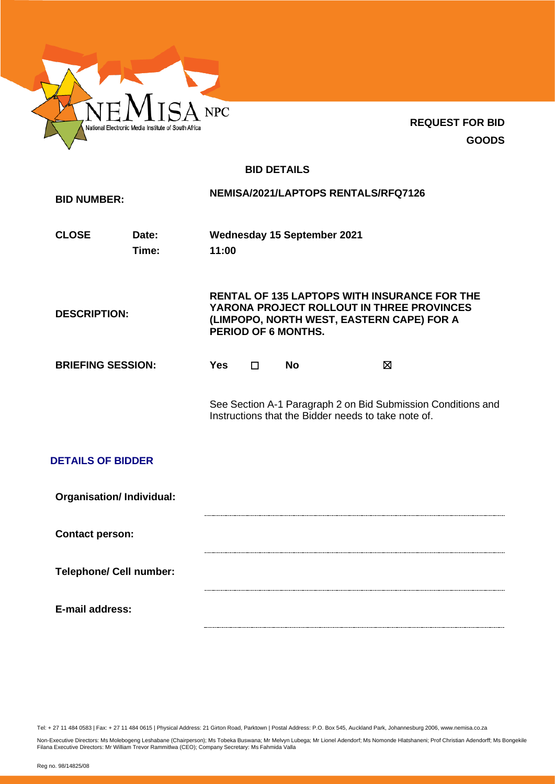

**REQUEST FOR BID GOODS**

## **BID DETAILS**

| <b>BID NUMBER:</b>              |                |                                                                                                                                                                      |   |                             | NEMISA/2021/LAPTOPS RENTALS/RFQ7126                                                                                 |  |
|---------------------------------|----------------|----------------------------------------------------------------------------------------------------------------------------------------------------------------------|---|-----------------------------|---------------------------------------------------------------------------------------------------------------------|--|
| <b>CLOSE</b>                    | Date:<br>Time: | 11:00                                                                                                                                                                |   | Wednesday 15 September 2021 |                                                                                                                     |  |
| <b>DESCRIPTION:</b>             |                | <b>RENTAL OF 135 LAPTOPS WITH INSURANCE FOR THE</b><br>YARONA PROJECT ROLLOUT IN THREE PROVINCES<br>(LIMPOPO, NORTH WEST, EASTERN CAPE) FOR A<br>PERIOD OF 6 MONTHS. |   |                             |                                                                                                                     |  |
| <b>BRIEFING SESSION:</b>        |                | <b>Yes</b>                                                                                                                                                           | П | <b>No</b>                   | ⊠                                                                                                                   |  |
|                                 |                |                                                                                                                                                                      |   |                             | See Section A-1 Paragraph 2 on Bid Submission Conditions and<br>Instructions that the Bidder needs to take note of. |  |
| <b>DETAILS OF BIDDER</b>        |                |                                                                                                                                                                      |   |                             |                                                                                                                     |  |
| <b>Organisation/Individual:</b> |                |                                                                                                                                                                      |   |                             |                                                                                                                     |  |
| <b>Contact person:</b>          |                |                                                                                                                                                                      |   |                             |                                                                                                                     |  |
| <b>Telephone/ Cell number:</b>  |                |                                                                                                                                                                      |   |                             |                                                                                                                     |  |
| E-mail address:                 |                |                                                                                                                                                                      |   |                             |                                                                                                                     |  |

Tel: + 27 11 484 0583 | Fax: + 27 11 484 0615 | Physical Address: 21 Girton Road, Parktown | Postal Address: P.O. Box 545, Auckland Park, Johannesburg 2006, www.nemisa.co.za

Non-Executive Directors: Ms Molebogeng Leshabane (Chairperson); Ms Tobeka Buswana; Mr Melvyn Lubega; Mr Lionel Adendorf; Ms Nomonde Hlatshaneni; Prof Christian Adendorff; Ms Bongekile<br>Filana Executive Directors: Mr William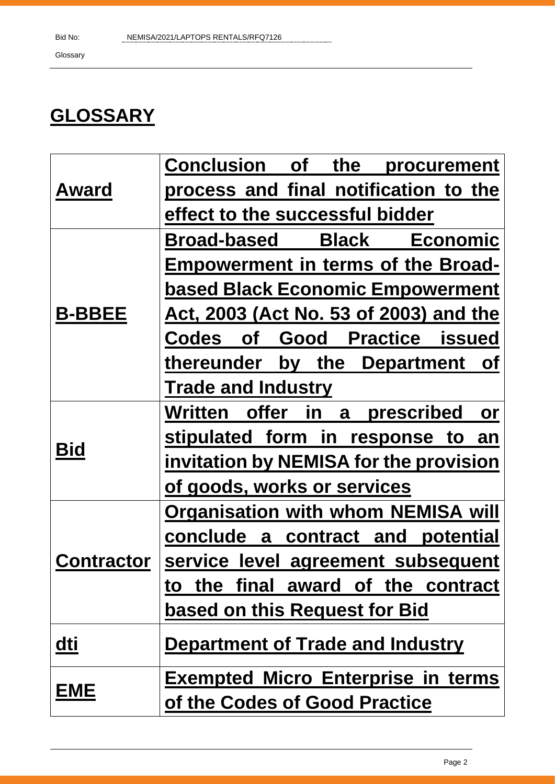## **GLOSSARY**

|                   | <b>Conclusion</b> of<br>the<br>procurement               |
|-------------------|----------------------------------------------------------|
| <b>Award</b>      | process and final notification to the                    |
|                   | effect to the successful bidder                          |
|                   | <b>Broad-based Black</b><br><b>Economic</b>              |
|                   | <b>Empowerment in terms of the Broad-</b>                |
|                   | <b>based Black Economic Empowerment</b>                  |
| <b>B-BBEE</b>     | <u>Act, 2003 (Act No. 53 of 2003) and the </u>           |
|                   | <b>Good Practice issued</b><br><b>Codes</b><br><b>of</b> |
|                   | thereunder by the Department<br><b>of</b>                |
|                   | <b>Trade and Industry</b>                                |
|                   | <b>Written offer</b><br>in a<br>prescribed<br>or         |
| <b>Bid</b>        | stipulated form in<br>response to<br>an                  |
|                   | invitation by NEMISA for the provision                   |
|                   | of goods, works or services                              |
|                   | <b>Organisation with whom NEMISA will</b>                |
|                   | conclude a contract and potential                        |
| <b>Contractor</b> | service level agreement subsequent                       |
|                   | to the final award of the contract                       |
|                   | <b>based on this Request for Bid</b>                     |
| dti               | Department of Trade and Industry                         |
|                   | <b>Exempted Micro Enterprise in terms</b>                |
| EME               | of the Codes of Good Practice                            |
|                   |                                                          |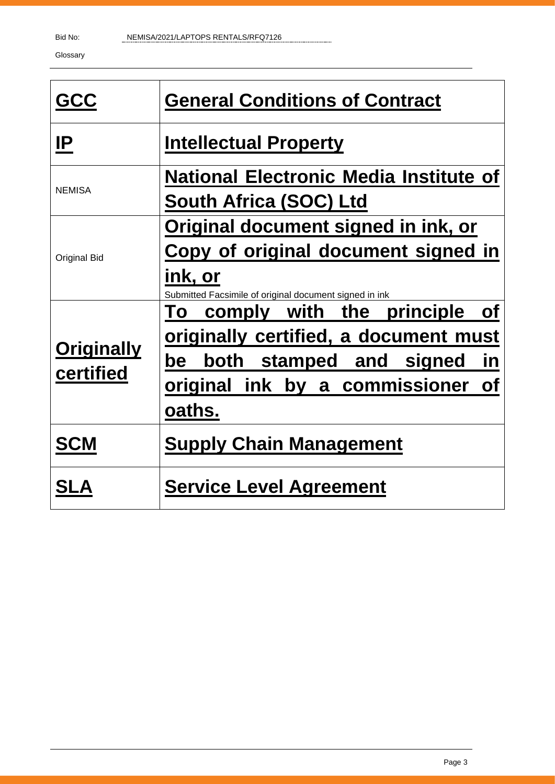Glossary

| <b>GCC</b>                     | <b>General Conditions of Contract</b>                                                                                                                                                             |
|--------------------------------|---------------------------------------------------------------------------------------------------------------------------------------------------------------------------------------------------|
| IP                             | <b>Intellectual Property</b>                                                                                                                                                                      |
| <b>NEMISA</b>                  | <b>National Electronic Media Institute of</b><br><b>South Africa (SOC) Ltd</b>                                                                                                                    |
| <b>Original Bid</b>            | <u>Original document signed in ink, or</u><br>Copy of original document signed in<br>ink, or<br>Submitted Facsimile of original document signed in ink                                            |
| <b>Originally</b><br>certified | comply with<br>principle<br>To<br>the<br><b>of</b><br>originally certified, a document must<br>both<br>stamped and<br>in<br>be<br>signed<br>original ink by a commissioner<br><b>of</b><br>oaths. |
| <b>SCM</b>                     | <b>Supply Chain Management</b>                                                                                                                                                                    |
|                                | <b>Service Level Agreement</b>                                                                                                                                                                    |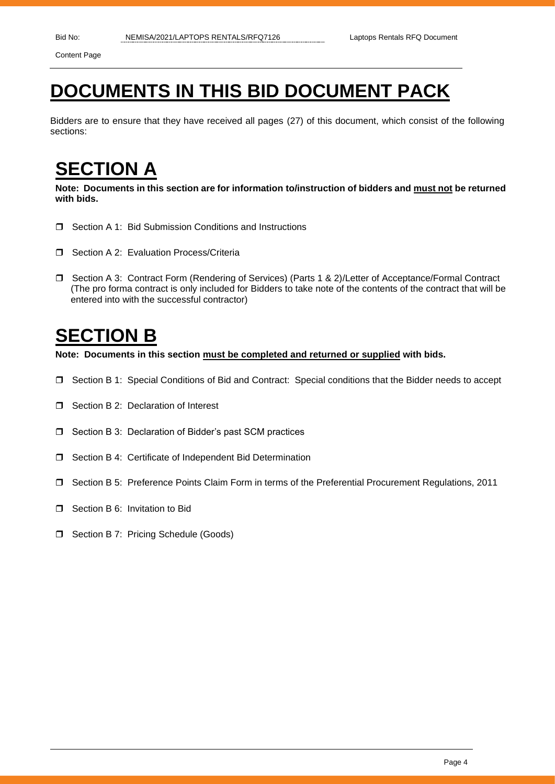## **DOCUMENTS IN THIS BID DOCUMENT PACK**

Bidders are to ensure that they have received all pages (27) of this document, which consist of the following sections:

## **SECTION A**

**Note: Documents in this section are for information to/instruction of bidders and must not be returned with bids.**

- □ Section A 1: Bid Submission Conditions and Instructions
- **D** Section A 2: Evaluation Process/Criteria
- □ Section A 3: Contract Form (Rendering of Services) (Parts 1 & 2)/Letter of Acceptance/Formal Contract (The pro forma contract is only included for Bidders to take note of the contents of the contract that will be entered into with the successful contractor)

## **SECTION B**

**Note: Documents in this section must be completed and returned or supplied with bids.**

- Section B 1: Special Conditions of Bid and Contract: Special conditions that the Bidder needs to accept
- □ Section B 2: Declaration of Interest
- □ Section B 3: Declaration of Bidder's past SCM practices
- □ Section B 4: Certificate of Independent Bid Determination
- Section B 5: Preference Points Claim Form in terms of the Preferential Procurement Regulations, 2011
- **D** Section B 6: Invitation to Bid
- □ Section B 7: Pricing Schedule (Goods)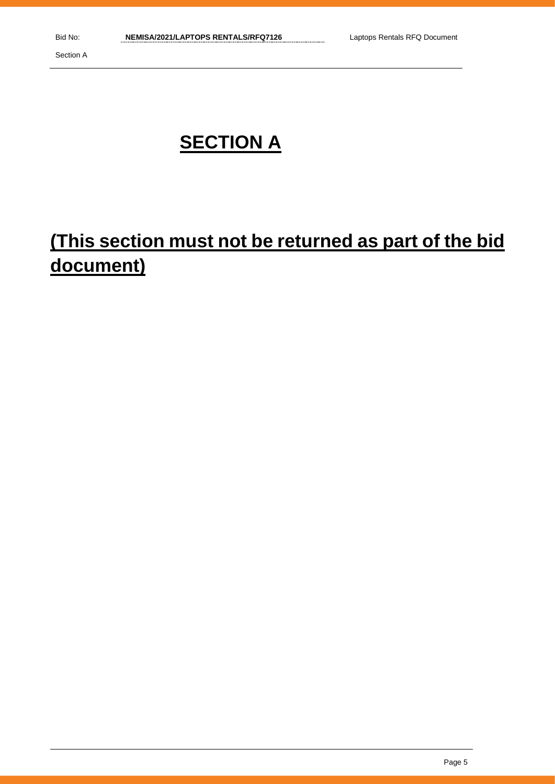## **SECTION A**

# **(This section must not be returned as part of the bid document)**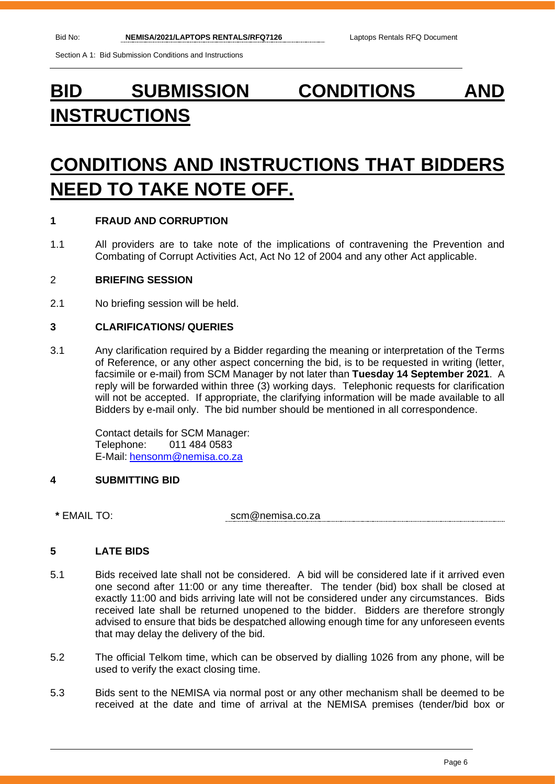Section A 1: Bid Submission Conditions and Instructions

## **BID SUBMISSION CONDITIONS AND INSTRUCTIONS**

## **CONDITIONS AND INSTRUCTIONS THAT BIDDERS NEED TO TAKE NOTE OFF.**

## **1 FRAUD AND CORRUPTION**

1.1 All providers are to take note of the implications of contravening the Prevention and Combating of Corrupt Activities Act, Act No 12 of 2004 and any other Act applicable.

## 2 **BRIEFING SESSION**

2.1 No briefing session will be held.

## **3 CLARIFICATIONS/ QUERIES**

3.1 Any clarification required by a Bidder regarding the meaning or interpretation of the Terms of Reference, or any other aspect concerning the bid, is to be requested in writing (letter, facsimile or e-mail) from SCM Manager by not later than **Tuesday 14 September 2021**. A reply will be forwarded within three (3) working days. Telephonic requests for clarification will not be accepted. If appropriate, the clarifying information will be made available to all Bidders by e-mail only. The bid number should be mentioned in all correspondence.

Contact details for SCM Manager: Telephone: 011 484 0583 E-Mail: [hensonm@nemisa.co.za](mailto:hensonm@nemisa.co.za)

## **4 SUBMITTING BID**

**\*** EMAIL TO: scm@nemisa.co.za

## **5 LATE BIDS**

- 5.1 Bids received late shall not be considered. A bid will be considered late if it arrived even one second after 11:00 or any time thereafter. The tender (bid) box shall be closed at exactly 11:00 and bids arriving late will not be considered under any circumstances. Bids received late shall be returned unopened to the bidder. Bidders are therefore strongly advised to ensure that bids be despatched allowing enough time for any unforeseen events that may delay the delivery of the bid.
- 5.2 The official Telkom time, which can be observed by dialling 1026 from any phone, will be used to verify the exact closing time.
- 5.3 Bids sent to the NEMISA via normal post or any other mechanism shall be deemed to be received at the date and time of arrival at the NEMISA premises (tender/bid box or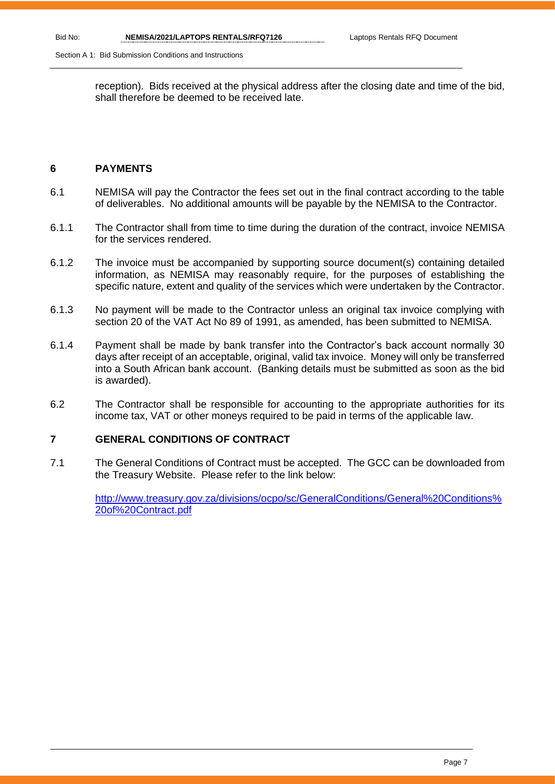reception). Bids received at the physical address after the closing date and time of the bid, shall therefore be deemed to be received late.

## **6 PAYMENTS**

- 6.1 NEMISA will pay the Contractor the fees set out in the final contract according to the table of deliverables. No additional amounts will be payable by the NEMISA to the Contractor.
- 6.1.1 The Contractor shall from time to time during the duration of the contract, invoice NEMISA for the services rendered.
- 6.1.2 The invoice must be accompanied by supporting source document(s) containing detailed information, as NEMISA may reasonably require, for the purposes of establishing the specific nature, extent and quality of the services which were undertaken by the Contractor.
- 6.1.3 No payment will be made to the Contractor unless an original tax invoice complying with section 20 of the VAT Act No 89 of 1991, as amended, has been submitted to NEMISA.
- 6.1.4 Payment shall be made by bank transfer into the Contractor's back account normally 30 days after receipt of an acceptable, original, valid tax invoice. Money will only be transferred into a South African bank account. (Banking details must be submitted as soon as the bid is awarded).
- 6.2 The Contractor shall be responsible for accounting to the appropriate authorities for its income tax, VAT or other moneys required to be paid in terms of the applicable law.

### **7 GENERAL CONDITIONS OF CONTRACT**

7.1 The General Conditions of Contract must be accepted. The GCC can be downloaded from the Treasury Website. Please refer to the link below:

[http://www.treasury.gov.za/divisions/ocpo/sc/GeneralConditions/General%20Conditions%](http://www.treasury.gov.za/divisions/ocpo/sc/GeneralConditions/General%20Conditions%20of%20Contract.pdf) [20of%20Contract.pdf](http://www.treasury.gov.za/divisions/ocpo/sc/GeneralConditions/General%20Conditions%20of%20Contract.pdf)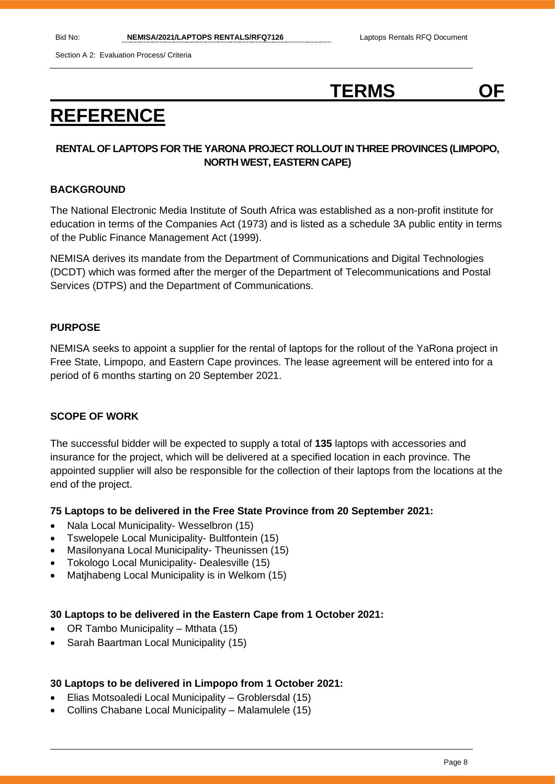# **TERMS OF**

## **REFERENCE**

## **RENTAL OF LAPTOPS FOR THE YARONA PROJECT ROLLOUT IN THREE PROVINCES (LIMPOPO, NORTH WEST, EASTERN CAPE)**

## **BACKGROUND**

The National Electronic Media Institute of South Africa was established as a non-profit institute for education in terms of the Companies Act (1973) and is listed as a schedule 3A public entity in terms of the Public Finance Management Act (1999).

NEMISA derives its mandate from the Department of Communications and Digital Technologies (DCDT) which was formed after the merger of the Department of Telecommunications and Postal Services (DTPS) and the Department of Communications.

## **PURPOSE**

NEMISA seeks to appoint a supplier for the rental of laptops for the rollout of the YaRona project in Free State, Limpopo, and Eastern Cape provinces. The lease agreement will be entered into for a period of 6 months starting on 20 September 2021.

## **SCOPE OF WORK**

The successful bidder will be expected to supply a total of **135** laptops with accessories and insurance for the project, which will be delivered at a specified location in each province. The appointed supplier will also be responsible for the collection of their laptops from the locations at the end of the project.

## **75 Laptops to be delivered in the Free State Province from 20 September 2021:**

- Nala Local Municipality- Wesselbron (15)
- Tswelopele Local Municipality- Bultfontein (15)
- Masilonyana Local Municipality- Theunissen (15)
- Tokologo Local Municipality- Dealesville (15)
- Matjhabeng Local Municipality is in Welkom (15)

## **30 Laptops to be delivered in the Eastern Cape from 1 October 2021:**

- OR Tambo Municipality Mthata (15)
- Sarah Baartman Local Municipality (15)

## **30 Laptops to be delivered in Limpopo from 1 October 2021:**

- Elias Motsoaledi Local Municipality Groblersdal (15)
- Collins Chabane Local Municipality Malamulele (15)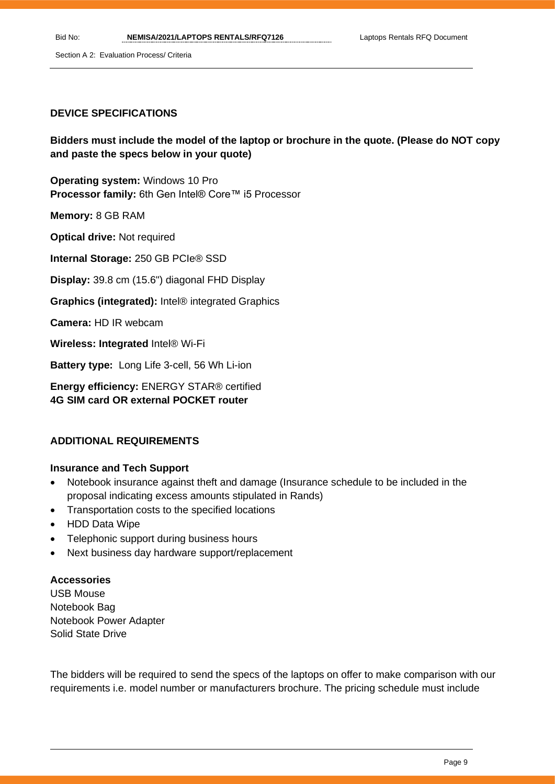## **DEVICE SPECIFICATIONS**

**Bidders must include the model of the laptop or brochure in the quote. (Please do NOT copy and paste the specs below in your quote)**

**Operating system:** Windows 10 Pro **Processor family:** 6th Gen Intel® Core™ i5 Processor

**Memory:** 8 GB RAM

**Optical drive:** Not required

**Internal Storage:** 250 GB PCIe® SSD

**Display:** 39.8 cm (15.6") diagonal FHD Display

**Graphics (integrated):** Intel® integrated Graphics

**Camera:** HD IR webcam

**Wireless: Integrated** Intel® Wi-Fi

**Battery type:** Long Life 3-cell, 56 Wh Li-ion

**Energy efficiency:** ENERGY STAR® certified **4G SIM card OR external POCKET router**

## **ADDITIONAL REQUIREMENTS**

## **Insurance and Tech Support**

- Notebook insurance against theft and damage (Insurance schedule to be included in the proposal indicating excess amounts stipulated in Rands)
- Transportation costs to the specified locations
- HDD Data Wipe
- Telephonic support during business hours
- Next business day hardware support/replacement

### **Accessories**

USB Mouse Notebook Bag Notebook Power Adapter Solid State Drive

The bidders will be required to send the specs of the laptops on offer to make comparison with our requirements i.e. model number or manufacturers brochure. The pricing schedule must include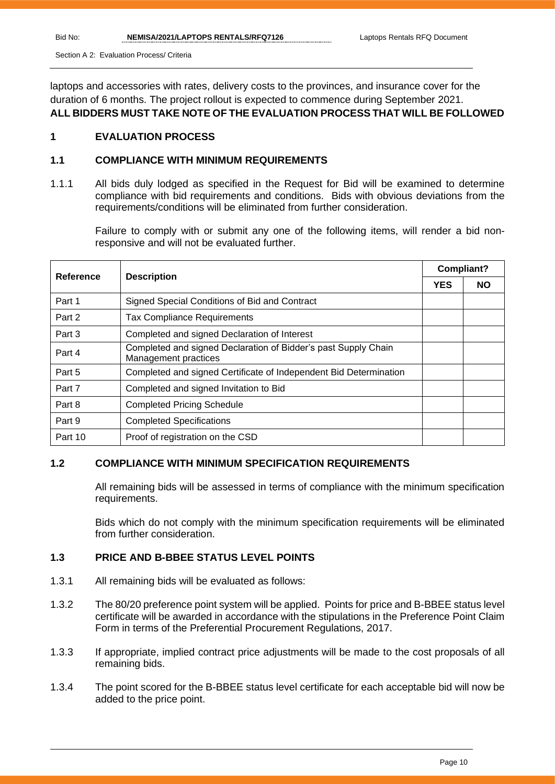laptops and accessories with rates, delivery costs to the provinces, and insurance cover for the duration of 6 months. The project rollout is expected to commence during September 2021. **ALL BIDDERS MUST TAKE NOTE OF THE EVALUATION PROCESS THAT WILL BE FOLLOWED**

## **1 EVALUATION PROCESS**

## **1.1 COMPLIANCE WITH MINIMUM REQUIREMENTS**

1.1.1 All bids duly lodged as specified in the Request for Bid will be examined to determine compliance with bid requirements and conditions. Bids with obvious deviations from the requirements/conditions will be eliminated from further consideration.

Failure to comply with or submit any one of the following items, will render a bid nonresponsive and will not be evaluated further.

| Reference | <b>Description</b>                                                                     |  | Compliant? |  |
|-----------|----------------------------------------------------------------------------------------|--|------------|--|
|           |                                                                                        |  | <b>NO</b>  |  |
| Part 1    | Signed Special Conditions of Bid and Contract                                          |  |            |  |
| Part 2    | <b>Tax Compliance Requirements</b>                                                     |  |            |  |
| Part 3    | Completed and signed Declaration of Interest                                           |  |            |  |
| Part 4    | Completed and signed Declaration of Bidder's past Supply Chain<br>Management practices |  |            |  |
| Part 5    | Completed and signed Certificate of Independent Bid Determination                      |  |            |  |
| Part 7    | Completed and signed Invitation to Bid                                                 |  |            |  |
| Part 8    | <b>Completed Pricing Schedule</b>                                                      |  |            |  |
| Part 9    | <b>Completed Specifications</b>                                                        |  |            |  |
| Part 10   | Proof of registration on the CSD                                                       |  |            |  |

## **1.2 COMPLIANCE WITH MINIMUM SPECIFICATION REQUIREMENTS**

All remaining bids will be assessed in terms of compliance with the minimum specification requirements.

Bids which do not comply with the minimum specification requirements will be eliminated from further consideration.

## **1.3 PRICE AND B-BBEE STATUS LEVEL POINTS**

- 1.3.1 All remaining bids will be evaluated as follows:
- 1.3.2 The 80/20 preference point system will be applied. Points for price and B-BBEE status level certificate will be awarded in accordance with the stipulations in the Preference Point Claim Form in terms of the Preferential Procurement Regulations, 2017.
- 1.3.3 If appropriate, implied contract price adjustments will be made to the cost proposals of all remaining bids.
- 1.3.4 The point scored for the B-BBEE status level certificate for each acceptable bid will now be added to the price point.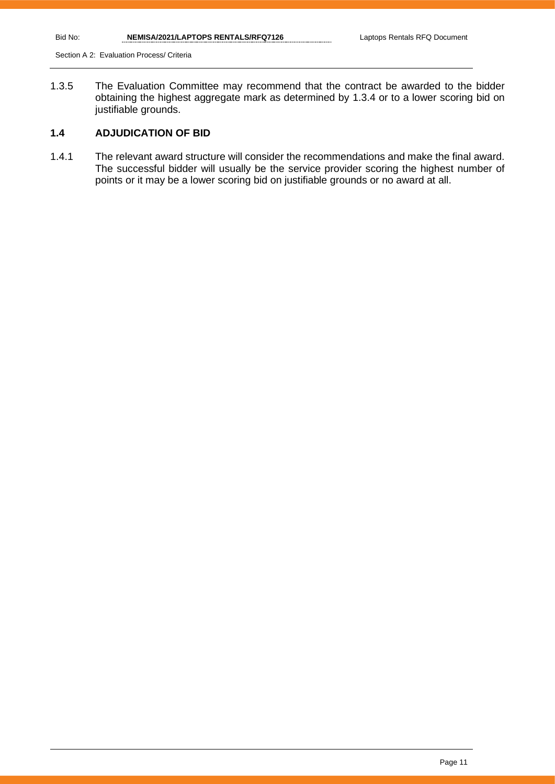1.3.5 The Evaluation Committee may recommend that the contract be awarded to the bidder obtaining the highest aggregate mark as determined by 1.3.4 or to a lower scoring bid on justifiable grounds.

## **1.4 ADJUDICATION OF BID**

1.4.1 The relevant award structure will consider the recommendations and make the final award. The successful bidder will usually be the service provider scoring the highest number of points or it may be a lower scoring bid on justifiable grounds or no award at all.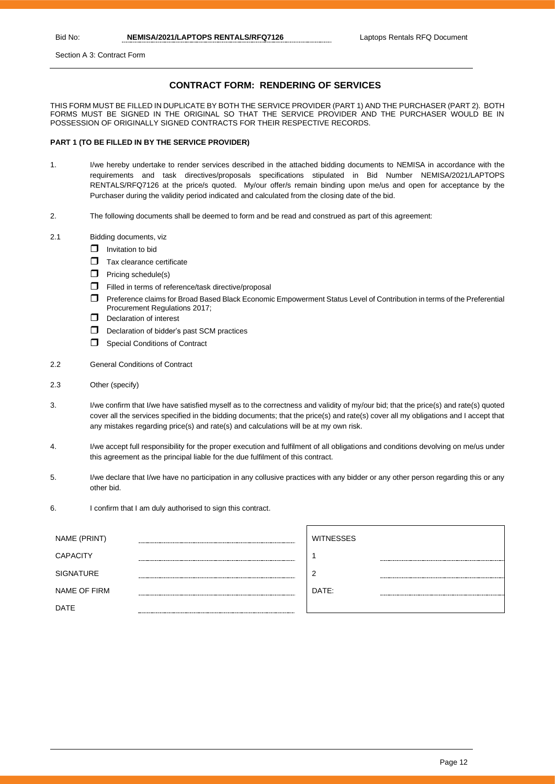Section A 3: Contract Form

### **CONTRACT FORM: RENDERING OF SERVICES**

THIS FORM MUST BE FILLED IN DUPLICATE BY BOTH THE SERVICE PROVIDER (PART 1) AND THE PURCHASER (PART 2). BOTH FORMS MUST BE SIGNED IN THE ORIGINAL SO THAT THE SERVICE PROVIDER AND THE PURCHASER WOULD BE IN POSSESSION OF ORIGINALLY SIGNED CONTRACTS FOR THEIR RESPECTIVE RECORDS.

#### **PART 1 (TO BE FILLED IN BY THE SERVICE PROVIDER)**

- 1. I/we hereby undertake to render services described in the attached bidding documents to NEMISA in accordance with the requirements and task directives/proposals specifications stipulated in Bid Number NEMISA/2021/LAPTOPS RENTALS/RFQ7126 at the price/s quoted. My/our offer/s remain binding upon me/us and open for acceptance by the Purchaser during the validity period indicated and calculated from the closing date of the bid.
- 2. The following documents shall be deemed to form and be read and construed as part of this agreement:
- 2.1 Bidding documents, viz
	- $\Box$  Invitation to bid
	- $\Box$  Tax clearance certificate
	- $\Box$  Pricing schedule(s)
	- Filled in terms of reference/task directive/proposal
	- Preference claims for Broad Based Black Economic Empowerment Status Level of Contribution in terms of the Preferential Procurement Regulations 2017;
	- $\Box$  Declaration of interest
	- D Declaration of bidder's past SCM practices
	- **C** Special Conditions of Contract
- 2.2 General Conditions of Contract
- 2.3 Other (specify)
- 3. I/we confirm that I/we have satisfied myself as to the correctness and validity of my/our bid; that the price(s) and rate(s) quoted cover all the services specified in the bidding documents; that the price(s) and rate(s) cover all my obligations and I accept that any mistakes regarding price(s) and rate(s) and calculations will be at my own risk.
- 4. I/we accept full responsibility for the proper execution and fulfilment of all obligations and conditions devolving on me/us under this agreement as the principal liable for the due fulfilment of this contract.
- 5. I/we declare that I/we have no participation in any collusive practices with any bidder or any other person regarding this or any other bid.
- 6. I confirm that I am duly authorised to sign this contract.

| NAME (PRINT)     | <b>WITNESSES</b> |  |
|------------------|------------------|--|
| <b>CAPACITY</b>  |                  |  |
| <b>SIGNATURE</b> |                  |  |
| NAME OF FIRM     | DATE:            |  |
| <b>DATE</b>      |                  |  |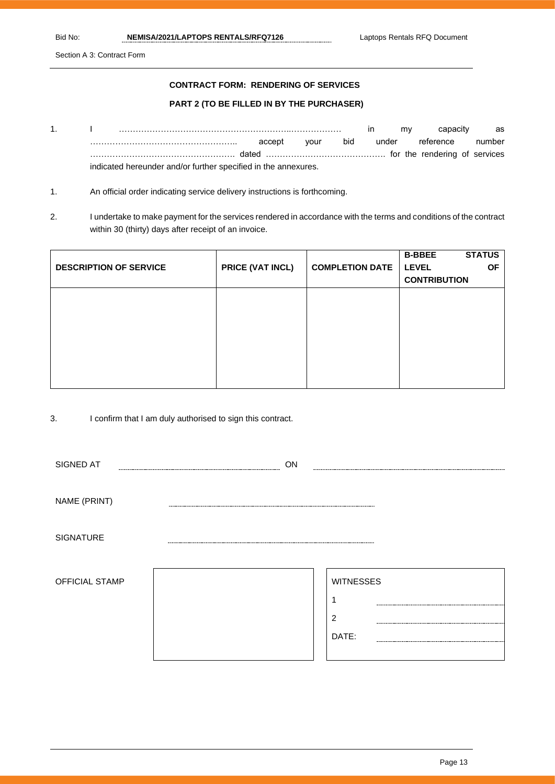Section A 3: Contract Form

### **CONTRACT FORM: RENDERING OF SERVICES**

### **PART 2 (TO BE FILLED IN BY THE PURCHASER)**

- 1. I ……………………………………………………..……………… in my capacity as …………………………………………….. accept your bid under reference number ……………………………………………. dated ……………………………………. for the rendering of services indicated hereunder and/or further specified in the annexures.
- 1. An official order indicating service delivery instructions is forthcoming.
- 2. I undertake to make payment for the services rendered in accordance with the terms and conditions of the contract within 30 (thirty) days after receipt of an invoice.

| <b>DESCRIPTION OF SERVICE</b> | <b>PRICE (VAT INCL)</b> | <b>COMPLETION DATE</b> | <b>B-BBEE</b><br><b>LEVEL</b> | <b>STATUS</b><br><b>OF</b> |
|-------------------------------|-------------------------|------------------------|-------------------------------|----------------------------|
|                               |                         |                        | <b>CONTRIBUTION</b>           |                            |
|                               |                         |                        |                               |                            |
|                               |                         |                        |                               |                            |
|                               |                         |                        |                               |                            |
|                               |                         |                        |                               |                            |
|                               |                         |                        |                               |                            |
|                               |                         |                        |                               |                            |

3. I confirm that I am duly authorised to sign this contract.

| SIGNED AT        | ON |                  |  |
|------------------|----|------------------|--|
|                  |    |                  |  |
| NAME (PRINT)     |    |                  |  |
|                  |    |                  |  |
| <b>SIGNATURE</b> |    |                  |  |
|                  |    |                  |  |
| OFFICIAL STAMP   |    | <b>WITNESSES</b> |  |
|                  |    | ٩                |  |
|                  |    | $\overline{2}$   |  |
|                  |    | DATE:            |  |
|                  |    |                  |  |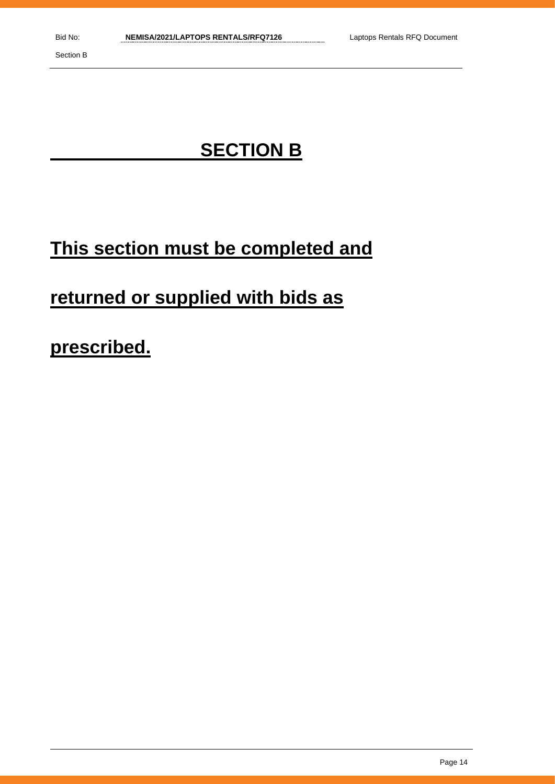## **SECTION B**

## **This section must be completed and**

## **returned or supplied with bids as**

## **prescribed.**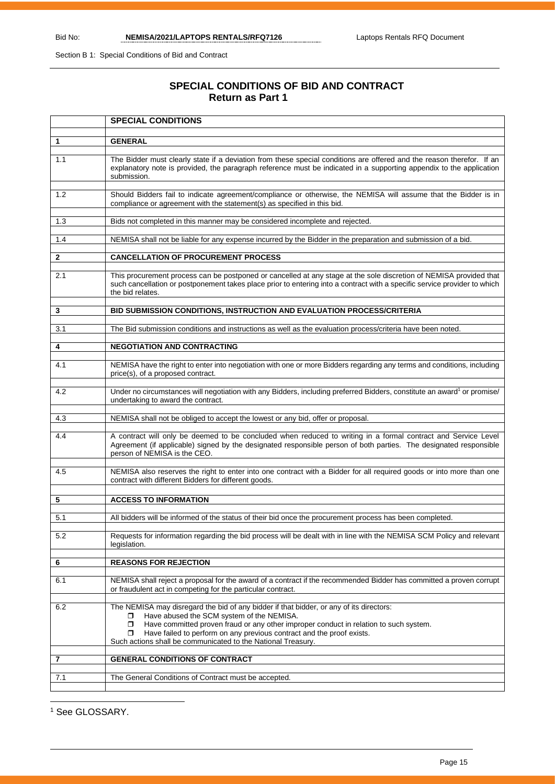Section B 1: Special Conditions of Bid and Contract

## **SPECIAL CONDITIONS OF BID AND CONTRACT Return as Part 1**

|     | <b>SPECIAL CONDITIONS</b>                                                                                                                                                                                                                                                                                                                                                               |
|-----|-----------------------------------------------------------------------------------------------------------------------------------------------------------------------------------------------------------------------------------------------------------------------------------------------------------------------------------------------------------------------------------------|
|     |                                                                                                                                                                                                                                                                                                                                                                                         |
| 1   | <b>GENERAL</b>                                                                                                                                                                                                                                                                                                                                                                          |
| 1.1 | The Bidder must clearly state if a deviation from these special conditions are offered and the reason therefor. If an<br>explanatory note is provided, the paragraph reference must be indicated in a supporting appendix to the application<br>submission.                                                                                                                             |
| 1.2 | Should Bidders fail to indicate agreement/compliance or otherwise, the NEMISA will assume that the Bidder is in<br>compliance or agreement with the statement(s) as specified in this bid.                                                                                                                                                                                              |
| 1.3 | Bids not completed in this manner may be considered incomplete and rejected.                                                                                                                                                                                                                                                                                                            |
| 1.4 | NEMISA shall not be liable for any expense incurred by the Bidder in the preparation and submission of a bid.                                                                                                                                                                                                                                                                           |
| 2   | <b>CANCELLATION OF PROCUREMENT PROCESS</b>                                                                                                                                                                                                                                                                                                                                              |
| 2.1 | This procurement process can be postponed or cancelled at any stage at the sole discretion of NEMISA provided that<br>such cancellation or postponement takes place prior to entering into a contract with a specific service provider to which<br>the bid relates.                                                                                                                     |
| 3   | BID SUBMISSION CONDITIONS, INSTRUCTION AND EVALUATION PROCESS/CRITERIA                                                                                                                                                                                                                                                                                                                  |
| 3.1 | The Bid submission conditions and instructions as well as the evaluation process/criteria have been noted.                                                                                                                                                                                                                                                                              |
| 4   | <b>NEGOTIATION AND CONTRACTING</b>                                                                                                                                                                                                                                                                                                                                                      |
| 4.1 | NEMISA have the right to enter into negotiation with one or more Bidders regarding any terms and conditions, including<br>price(s), of a proposed contract.                                                                                                                                                                                                                             |
| 4.2 | Under no circumstances will negotiation with any Bidders, including preferred Bidders, constitute an award <sup>1</sup> or promise/<br>undertaking to award the contract.                                                                                                                                                                                                               |
| 4.3 | NEMISA shall not be obliged to accept the lowest or any bid, offer or proposal.                                                                                                                                                                                                                                                                                                         |
| 4.4 | A contract will only be deemed to be concluded when reduced to writing in a formal contract and Service Level<br>Agreement (if applicable) signed by the designated responsible person of both parties. The designated responsible<br>person of NEMISA is the CEO.                                                                                                                      |
| 4.5 | NEMISA also reserves the right to enter into one contract with a Bidder for all required goods or into more than one<br>contract with different Bidders for different goods.                                                                                                                                                                                                            |
| 5   | <b>ACCESS TO INFORMATION</b>                                                                                                                                                                                                                                                                                                                                                            |
| 5.1 | All bidders will be informed of the status of their bid once the procurement process has been completed.                                                                                                                                                                                                                                                                                |
| 5.2 | Requests for information regarding the bid process will be dealt with in line with the NEMISA SCM Policy and relevant<br>legislation.                                                                                                                                                                                                                                                   |
| 6   | <b>REASONS FOR REJECTION</b>                                                                                                                                                                                                                                                                                                                                                            |
|     |                                                                                                                                                                                                                                                                                                                                                                                         |
| 6.1 | NEMISA shall reject a proposal for the award of a contract if the recommended Bidder has committed a proven corrupt<br>or fraudulent act in competing for the particular contract.                                                                                                                                                                                                      |
| 6.2 | The NEMISA may disregard the bid of any bidder if that bidder, or any of its directors:<br>Have abused the SCM system of the NEMISA.<br>0.<br>Have committed proven fraud or any other improper conduct in relation to such system.<br>□<br>Have failed to perform on any previous contract and the proof exists.<br>0.<br>Such actions shall be communicated to the National Treasury. |
| 7   | <b>GENERAL CONDITIONS OF CONTRACT</b>                                                                                                                                                                                                                                                                                                                                                   |
| 7.1 | The General Conditions of Contract must be accepted.                                                                                                                                                                                                                                                                                                                                    |
|     |                                                                                                                                                                                                                                                                                                                                                                                         |

<sup>1</sup> See GLOSSARY.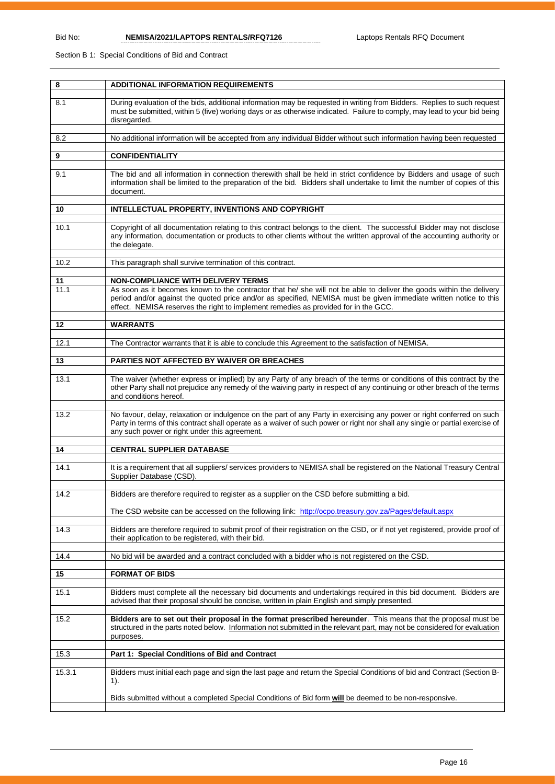Section B 1: Special Conditions of Bid and Contract

| 8      | <b>ADDITIONAL INFORMATION REQUIREMENTS</b>                                                                                                                                                                                                                                                                                       |
|--------|----------------------------------------------------------------------------------------------------------------------------------------------------------------------------------------------------------------------------------------------------------------------------------------------------------------------------------|
| 8.1    | During evaluation of the bids, additional information may be requested in writing from Bidders. Replies to such request<br>must be submitted, within 5 (five) working days or as otherwise indicated. Failure to comply, may lead to your bid being<br>disregarded.                                                              |
| 8.2    | No additional information will be accepted from any individual Bidder without such information having been requested                                                                                                                                                                                                             |
| 9      | <b>CONFIDENTIALITY</b>                                                                                                                                                                                                                                                                                                           |
| 9.1    | The bid and all information in connection therewith shall be held in strict confidence by Bidders and usage of such<br>information shall be limited to the preparation of the bid. Bidders shall undertake to limit the number of copies of this<br>document.                                                                    |
| 10     | INTELLECTUAL PROPERTY, INVENTIONS AND COPYRIGHT                                                                                                                                                                                                                                                                                  |
| 10.1   | Copyright of all documentation relating to this contract belongs to the client. The successful Bidder may not disclose<br>any information, documentation or products to other clients without the written approval of the accounting authority or<br>the delegate.                                                               |
| 10.2   | This paragraph shall survive termination of this contract.                                                                                                                                                                                                                                                                       |
| 11     | <b>NON-COMPLIANCE WITH DELIVERY TERMS</b>                                                                                                                                                                                                                                                                                        |
| 11.1   | As soon as it becomes known to the contractor that he/ she will not be able to deliver the goods within the delivery<br>period and/or against the quoted price and/or as specified, NEMISA must be given immediate written notice to this<br>effect. NEMISA reserves the right to implement remedies as provided for in the GCC. |
| 12     | <b>WARRANTS</b>                                                                                                                                                                                                                                                                                                                  |
| 12.1   | The Contractor warrants that it is able to conclude this Agreement to the satisfaction of NEMISA.                                                                                                                                                                                                                                |
| 13     | PARTIES NOT AFFECTED BY WAIVER OR BREACHES                                                                                                                                                                                                                                                                                       |
| 13.1   | The waiver (whether express or implied) by any Party of any breach of the terms or conditions of this contract by the<br>other Party shall not prejudice any remedy of the waiving party in respect of any continuing or other breach of the terms<br>and conditions hereof.                                                     |
| 13.2   | No favour, delay, relaxation or indulgence on the part of any Party in exercising any power or right conferred on such<br>Party in terms of this contract shall operate as a waiver of such power or right nor shall any single or partial exercise of<br>any such power or right under this agreement.                          |
| 14     | <b>CENTRAL SUPPLIER DATABASE</b>                                                                                                                                                                                                                                                                                                 |
| 14.1   | It is a requirement that all suppliers/ services providers to NEMISA shall be registered on the National Treasury Central<br>Supplier Database (CSD).                                                                                                                                                                            |
| 14.2   | Bidders are therefore required to register as a supplier on the CSD before submitting a bid.                                                                                                                                                                                                                                     |
|        | The CSD website can be accessed on the following link: http://ocpo.treasury.gov.za/Pages/default.aspx                                                                                                                                                                                                                            |
| 14.3   | Bidders are therefore required to submit proof of their registration on the CSD, or if not yet registered, provide proof of<br>their application to be registered, with their bid.                                                                                                                                               |
| 14.4   | No bid will be awarded and a contract concluded with a bidder who is not registered on the CSD.                                                                                                                                                                                                                                  |
| 15     | <b>FORMAT OF BIDS</b>                                                                                                                                                                                                                                                                                                            |
| 15.1   | Bidders must complete all the necessary bid documents and undertakings required in this bid document. Bidders are<br>advised that their proposal should be concise, written in plain English and simply presented.                                                                                                               |
| 15.2   | Bidders are to set out their proposal in the format prescribed hereunder. This means that the proposal must be<br>structured in the parts noted below. Information not submitted in the relevant part, may not be considered for evaluation<br>purposes.                                                                         |
| 15.3   | Part 1: Special Conditions of Bid and Contract                                                                                                                                                                                                                                                                                   |
| 15.3.1 | Bidders must initial each page and sign the last page and return the Special Conditions of bid and Contract (Section B-<br>1).                                                                                                                                                                                                   |
|        | Bids submitted without a completed Special Conditions of Bid form will be deemed to be non-responsive.                                                                                                                                                                                                                           |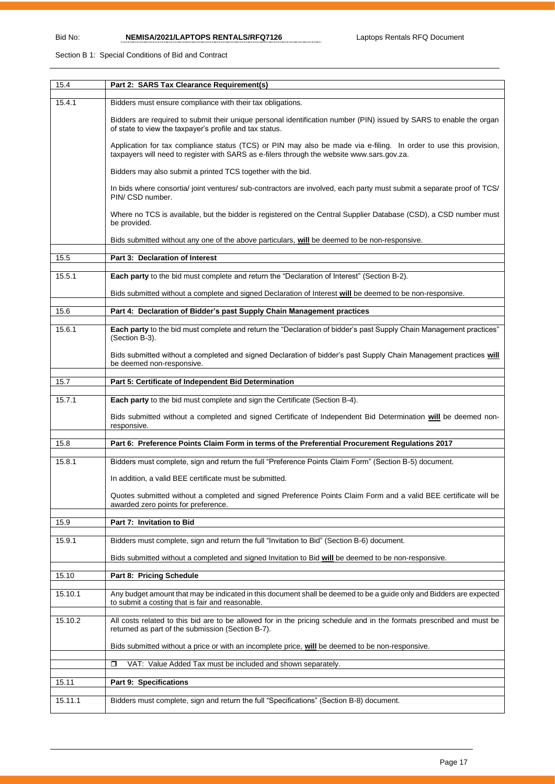### Section B 1: Special Conditions of Bid and Contract

| 15.4    | Part 2: SARS Tax Clearance Requirement(s)                                                                                                                                                                       |
|---------|-----------------------------------------------------------------------------------------------------------------------------------------------------------------------------------------------------------------|
| 15.4.1  | Bidders must ensure compliance with their tax obligations.                                                                                                                                                      |
|         | Bidders are required to submit their unique personal identification number (PIN) issued by SARS to enable the organ<br>of state to view the taxpayer's profile and tax status.                                  |
|         | Application for tax compliance status (TCS) or PIN may also be made via e-filing. In order to use this provision,<br>taxpayers will need to register with SARS as e-filers through the website www.sars.gov.za. |
|         | Bidders may also submit a printed TCS together with the bid.                                                                                                                                                    |
|         | In bids where consortia/ joint ventures/ sub-contractors are involved, each party must submit a separate proof of TCS/<br>PIN/ CSD number.                                                                      |
|         | Where no TCS is available, but the bidder is registered on the Central Supplier Database (CSD), a CSD number must<br>be provided.                                                                               |
|         | Bids submitted without any one of the above particulars, will be deemed to be non-responsive.                                                                                                                   |
| 15.5    | Part 3: Declaration of Interest                                                                                                                                                                                 |
| 15.5.1  | Each party to the bid must complete and return the "Declaration of Interest" (Section B-2).                                                                                                                     |
|         | Bids submitted without a complete and signed Declaration of Interest will be deemed to be non-responsive.                                                                                                       |
| 15.6    | Part 4: Declaration of Bidder's past Supply Chain Management practices                                                                                                                                          |
|         |                                                                                                                                                                                                                 |
| 15.6.1  | Each party to the bid must complete and return the "Declaration of bidder's past Supply Chain Management practices"<br>(Section B-3).                                                                           |
|         | Bids submitted without a completed and signed Declaration of bidder's past Supply Chain Management practices will<br>be deemed non-responsive.                                                                  |
| 15.7    | Part 5: Certificate of Independent Bid Determination                                                                                                                                                            |
| 15.7.1  | Each party to the bid must complete and sign the Certificate (Section B-4).                                                                                                                                     |
|         | Bids submitted without a completed and signed Certificate of Independent Bid Determination will be deemed non-<br>responsive.                                                                                   |
| 15.8    | Part 6: Preference Points Claim Form in terms of the Preferential Procurement Regulations 2017                                                                                                                  |
|         |                                                                                                                                                                                                                 |
| 15.8.1  | Bidders must complete, sign and return the full "Preference Points Claim Form" (Section B-5) document.                                                                                                          |
|         | In addition, a valid BEE certificate must be submitted.                                                                                                                                                         |
|         | Quotes submitted without a completed and signed Preference Points Claim Form and a valid BEE certificate will be<br>awarded zero points for preference.                                                         |
| 15.9    | Part 7: Invitation to Bid                                                                                                                                                                                       |
| 15.9.1  | Bidders must complete, sign and return the full "Invitation to Bid" (Section B-6) document.                                                                                                                     |
|         | Bids submitted without a completed and signed Invitation to Bid will be deemed to be non-responsive.                                                                                                            |
| 15.10   | Part 8: Pricing Schedule                                                                                                                                                                                        |
| 15.10.1 | Any budget amount that may be indicated in this document shall be deemed to be a guide only and Bidders are expected<br>to submit a costing that is fair and reasonable.                                        |
| 15.10.2 | All costs related to this bid are to be allowed for in the pricing schedule and in the formats prescribed and must be<br>returned as part of the submission (Section B-7).                                      |
|         | Bids submitted without a price or with an incomplete price, will be deemed to be non-responsive.                                                                                                                |
|         |                                                                                                                                                                                                                 |
|         | VAT: Value Added Tax must be included and shown separately.<br>◘                                                                                                                                                |
| 15.11   | Part 9: Specifications                                                                                                                                                                                          |
| 15.11.1 | Bidders must complete, sign and return the full "Specifications" (Section B-8) document.                                                                                                                        |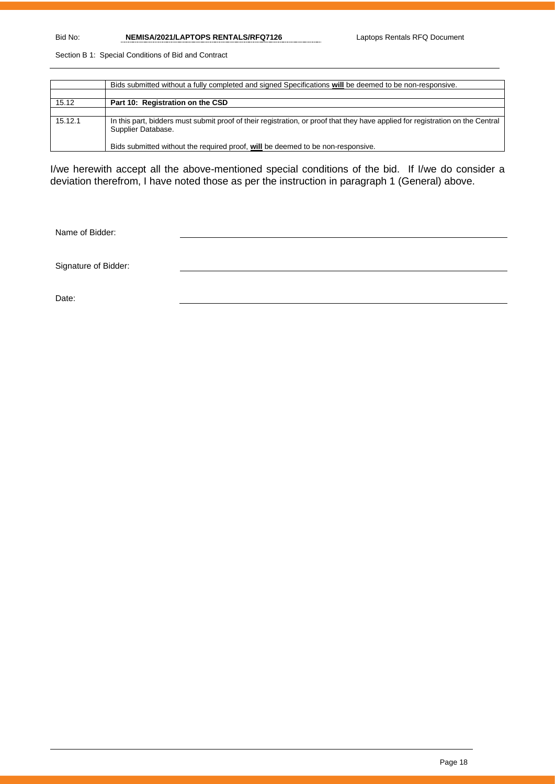Bid No: **NEMISA/2021/LAPTOPS RENTALS/RFQ7126** Laptops Rentals RFQ Document

Section B 1: Special Conditions of Bid and Contract

|         | Bids submitted without a fully completed and signed Specifications will be deemed to be non-responsive.                                              |
|---------|------------------------------------------------------------------------------------------------------------------------------------------------------|
|         |                                                                                                                                                      |
| 15.12   | Part 10: Registration on the CSD                                                                                                                     |
|         |                                                                                                                                                      |
| 15.12.1 | In this part, bidders must submit proof of their registration, or proof that they have applied for registration on the Central<br>Supplier Database. |
|         | Bids submitted without the required proof, will be deemed to be non-responsive.                                                                      |

I/we herewith accept all the above-mentioned special conditions of the bid. If I/we do consider a deviation therefrom, I have noted those as per the instruction in paragraph 1 (General) above.

Name of Bidder:

Signature of Bidder:

Date: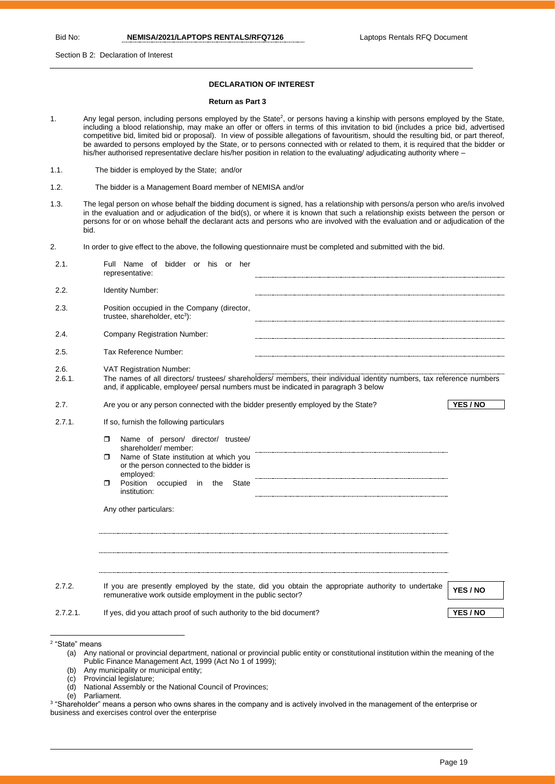Section B 2: Declaration of Interest

#### **DECLARATION OF INTEREST**

#### **Return as Part 3**

- 1. Any legal person, including persons employed by the State<sup>2</sup>, or persons having a kinship with persons employed by the State, including a blood relationship, may make an offer or offers in terms of this invitation to bid (includes a price bid, advertised competitive bid, limited bid or proposal). In view of possible allegations of favouritism, should the resulting bid, or part thereof, be awarded to persons employed by the State, or to persons connected with or related to them, it is required that the bidder or his/her authorised representative declare his/her position in relation to the evaluating/ adjudicating authority where –
- 1.1. The bidder is employed by the State; and/or
- 1.2. The bidder is a Management Board member of NEMISA and/or
- 1.3. The legal person on whose behalf the bidding document is signed, has a relationship with persons/a person who are/is involved in the evaluation and or adjudication of the bid(s), or where it is known that such a relationship exists between the person or persons for or on whose behalf the declarant acts and persons who are involved with the evaluation and or adjudication of the bid.
- 2. In order to give effect to the above, the following questionnaire must be completed and submitted with the bid.

| 2.1.           | Full Name of bidder or his or her<br>representative:                                                                                                                                                                                                                       |          |
|----------------|----------------------------------------------------------------------------------------------------------------------------------------------------------------------------------------------------------------------------------------------------------------------------|----------|
| 2.2.           | <b>Identity Number:</b>                                                                                                                                                                                                                                                    |          |
| 2.3.           | Position occupied in the Company (director,<br>trustee, shareholder, $etc3$ ):                                                                                                                                                                                             |          |
| 2.4.           | Company Registration Number:                                                                                                                                                                                                                                               |          |
| 2.5.           | Tax Reference Number:                                                                                                                                                                                                                                                      |          |
| 2.6.<br>2.6.1. | VAT Registration Number:<br>The names of all directors/ trustees/ shareholders/ members, their individual identity numbers, tax reference numbers<br>and, if applicable, employee/ persal numbers must be indicated in paragraph 3 below                                   |          |
| 2.7.           | Are you or any person connected with the bidder presently employed by the State?                                                                                                                                                                                           | YES / NO |
| 2.7.1.         | If so, furnish the following particulars                                                                                                                                                                                                                                   |          |
|                | Name of person/ director/ trustee/<br>п.<br>shareholder/ member:<br>Name of State institution at which you<br>п.<br>or the person connected to the bidder is<br>employed:<br>Position occupied<br><b>State</b><br>σ<br>in<br>the<br>institution:<br>Any other particulars: |          |
| 2.7.2.         | If you are presently employed by the state, did you obtain the appropriate authority to undertake<br>remunerative work outside employment in the public sector?                                                                                                            | YES / NO |
| $2.7.2.1$ .    | If yes, did you attach proof of such authority to the bid document?                                                                                                                                                                                                        | YES / NO |

- (a) Any national or provincial department, national or provincial public entity or constitutional institution within the meaning of the Public Finance Management Act, 1999 (Act No 1 of 1999);
- (b) Any municipality or municipal entity;
- (c) Provincial legislature;
- National Assembly or the National Council of Provinces;
- (e) Parliament.
- 3 "Shareholder" means a person who owns shares in the company and is actively involved in the management of the enterprise or business and exercises control over the enterprise

<sup>2</sup> "State" means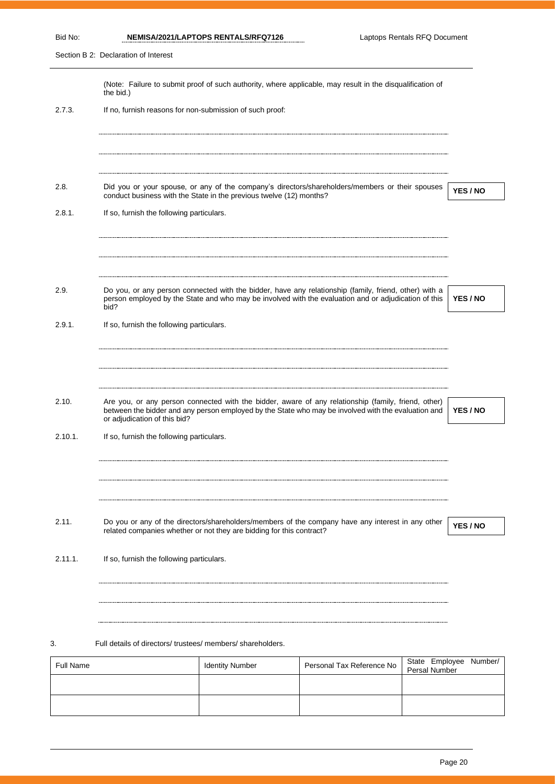Section B 2: Declaration of Interest

|                  | the bid.)                                                |                                                                      | (Note: Failure to submit proof of such authority, where applicable, may result in the disqualification of                                                                                                     |                                 |                 |
|------------------|----------------------------------------------------------|----------------------------------------------------------------------|---------------------------------------------------------------------------------------------------------------------------------------------------------------------------------------------------------------|---------------------------------|-----------------|
| 2.7.3.           | If no, furnish reasons for non-submission of such proof: |                                                                      |                                                                                                                                                                                                               |                                 |                 |
|                  |                                                          |                                                                      |                                                                                                                                                                                                               |                                 |                 |
|                  |                                                          |                                                                      |                                                                                                                                                                                                               |                                 |                 |
| 2.8.             |                                                          | conduct business with the State in the previous twelve (12) months?  | Did you or your spouse, or any of the company's directors/shareholders/members or their spouses                                                                                                               |                                 | YES / NO        |
| 2.8.1.           | If so, furnish the following particulars.                |                                                                      |                                                                                                                                                                                                               |                                 |                 |
|                  |                                                          |                                                                      |                                                                                                                                                                                                               |                                 |                 |
|                  |                                                          |                                                                      |                                                                                                                                                                                                               |                                 |                 |
| 2.9.             | bid?                                                     |                                                                      | Do you, or any person connected with the bidder, have any relationship (family, friend, other) with a<br>person employed by the State and who may be involved with the evaluation and or adjudication of this |                                 | <b>YES / NO</b> |
| 2.9.1.           | If so, furnish the following particulars.                |                                                                      |                                                                                                                                                                                                               |                                 |                 |
|                  |                                                          |                                                                      |                                                                                                                                                                                                               |                                 |                 |
|                  |                                                          |                                                                      |                                                                                                                                                                                                               |                                 |                 |
| 2.10.            | or adjudication of this bid?                             |                                                                      | Are you, or any person connected with the bidder, aware of any relationship (family, friend, other)<br>between the bidder and any person employed by the State who may be involved with the evaluation and    |                                 | <b>YES / NO</b> |
| 2.10.1.          | If so, furnish the following particulars.                |                                                                      |                                                                                                                                                                                                               |                                 |                 |
|                  |                                                          |                                                                      |                                                                                                                                                                                                               |                                 |                 |
|                  |                                                          |                                                                      |                                                                                                                                                                                                               |                                 |                 |
| 2.11.            |                                                          |                                                                      | Do you or any of the directors/shareholders/members of the company have any interest in any other                                                                                                             |                                 |                 |
|                  |                                                          | related companies whether or not they are bidding for this contract? |                                                                                                                                                                                                               |                                 | YES / NO        |
| 2.11.1.          | If so, furnish the following particulars.                |                                                                      |                                                                                                                                                                                                               |                                 |                 |
|                  |                                                          |                                                                      |                                                                                                                                                                                                               |                                 |                 |
|                  |                                                          |                                                                      |                                                                                                                                                                                                               |                                 |                 |
| 3.               | Full details of directors/trustees/members/shareholders. |                                                                      |                                                                                                                                                                                                               |                                 |                 |
| <b>Full Name</b> |                                                          | <b>Identity Number</b>                                               | Personal Tax Reference No                                                                                                                                                                                     | State Employee<br>Persal Number | Number/         |
|                  |                                                          |                                                                      |                                                                                                                                                                                                               |                                 |                 |
|                  |                                                          |                                                                      |                                                                                                                                                                                                               |                                 |                 |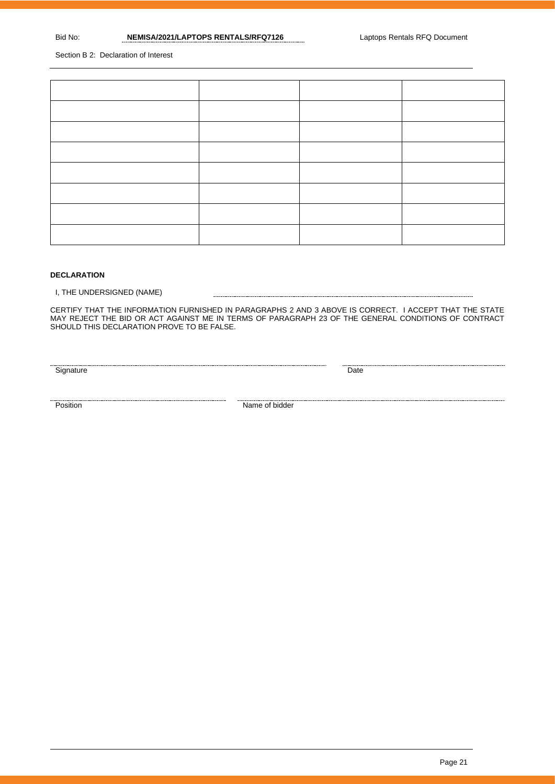Section B 2: Declaration of Interest

#### **DECLARATION**

I, THE UNDERSIGNED (NAME)

CERTIFY THAT THE INFORMATION FURNISHED IN PARAGRAPHS 2 AND 3 ABOVE IS CORRECT. I ACCEPT THAT THE STATE MAY REJECT THE BID OR ACT AGAINST ME IN TERMS OF PARAGRAPH 23 OF THE GENERAL CONDITIONS OF CONTRACT SHOULD THIS DECLARATION PROVE TO BE FALSE.

Signature Date Date

<u>Position</u> Mame of bidder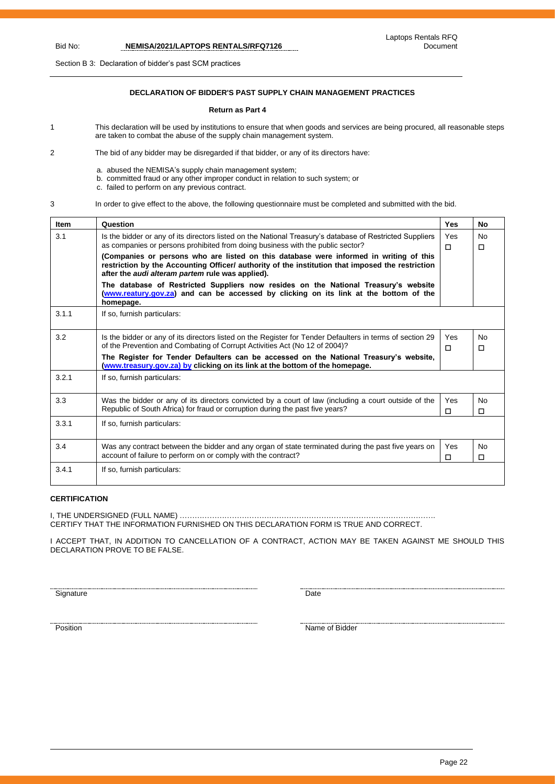Section B 3: Declaration of bidder's past SCM practices

### **DECLARATION OF BIDDER'S PAST SUPPLY CHAIN MANAGEMENT PRACTICES**

#### **Return as Part 4**

- 1 This declaration will be used by institutions to ensure that when goods and services are being procured, all reasonable steps are taken to combat the abuse of the supply chain management system.
- 2 The bid of any bidder may be disregarded if that bidder, or any of its directors have:
	- a. abused the NEMISA's supply chain management system;
	- b. committed fraud or any other improper conduct in relation to such system; or
	- c. failed to perform on any previous contract.

3 In order to give effect to the above, the following questionnaire must be completed and submitted with the bid.

| <b>Item</b> | Question                                                                                                                                                                                                                                              | Yes           | No                  |
|-------------|-------------------------------------------------------------------------------------------------------------------------------------------------------------------------------------------------------------------------------------------------------|---------------|---------------------|
| 3.1         | Is the bidder or any of its directors listed on the National Treasury's database of Restricted Suppliers<br>as companies or persons prohibited from doing business with the public sector?                                                            | Yes<br>$\Box$ | <b>No</b><br>$\Box$ |
|             | (Companies or persons who are listed on this database were informed in writing of this<br>restriction by the Accounting Officer/ authority of the institution that imposed the restriction<br>after the <i>audi alteram partem</i> rule was applied). |               |                     |
|             | The database of Restricted Suppliers now resides on the National Treasury's website<br>(www.reatury.gov.za) and can be accessed by clicking on its link at the bottom of the<br>homepage.                                                             |               |                     |
| 3.1.1       | If so, furnish particulars:                                                                                                                                                                                                                           |               |                     |
| 3.2         | Is the bidder or any of its directors listed on the Register for Tender Defaulters in terms of section 29<br>of the Prevention and Combating of Corrupt Activities Act (No 12 of 2004)?                                                               | Yes<br>п      | <b>No</b><br>□      |
|             | The Register for Tender Defaulters can be accessed on the National Treasury's website,<br>(www.treasury.gov.za) by clicking on its link at the bottom of the homepage.                                                                                |               |                     |
| 3.2.1       | If so, furnish particulars:                                                                                                                                                                                                                           |               |                     |
| 3.3         | Was the bidder or any of its directors convicted by a court of law (including a court outside of the<br>Republic of South Africa) for fraud or corruption during the past five years?                                                                 | Yes<br>п      | <b>No</b><br>$\Box$ |
| 3.3.1       | If so, furnish particulars:                                                                                                                                                                                                                           |               |                     |
| 3.4         | Was any contract between the bidder and any organ of state terminated during the past five years on<br>account of failure to perform on or comply with the contract?                                                                                  | Yes<br>$\Box$ | No<br>$\Box$        |
| 3.4.1       | If so, furnish particulars:                                                                                                                                                                                                                           |               |                     |

### **CERTIFICATION**

I, THE UNDERSIGNED (FULL NAME) …………………………………………………………………………………………. CERTIFY THAT THE INFORMATION FURNISHED ON THIS DECLARATION FORM IS TRUE AND CORRECT.

I ACCEPT THAT, IN ADDITION TO CANCELLATION OF A CONTRACT, ACTION MAY BE TAKEN AGAINST ME SHOULD THIS DECLARATION PROVE TO BE FALSE.

Signature Date

names and the state of Bidder and Science of Bidder Position and Science of Bidder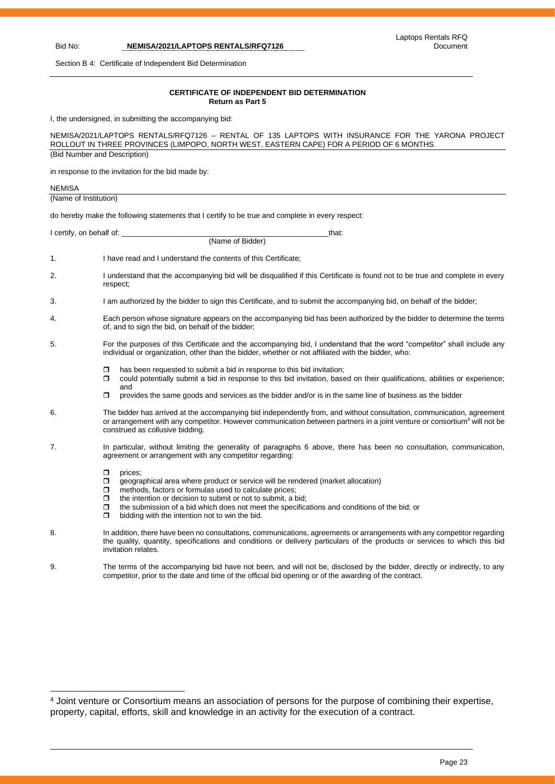| NEMISA/2021/LAPTOPS RENTALS/RFQ7126 |
|-------------------------------------|
|                                     |

Section B 4: Certificate of Independent Bid Determination

Bid No:

#### **CERTIFICATE OF INDEPENDENT BID DETERMINATION Return as Part 5**

I, the undersigned, in submitting the accompanying bid:

|                              | NEMISA/2021/LAPTOPS RENTALS/RFQ7126 - RENTAL OF 135 LAPTOPS WITH INSURANCE FOR THE YARONA PROJECT<br>ROLLOUT IN THREE PROVINCES (LIMPOPO, NORTH WEST, EASTERN CAPE) FOR A PERIOD OF 6 MONTHS.                                                                                                                                                                                                    |
|------------------------------|--------------------------------------------------------------------------------------------------------------------------------------------------------------------------------------------------------------------------------------------------------------------------------------------------------------------------------------------------------------------------------------------------|
| (Bid Number and Description) |                                                                                                                                                                                                                                                                                                                                                                                                  |
|                              | in response to the invitation for the bid made by:                                                                                                                                                                                                                                                                                                                                               |
| <b>NEMISA</b>                |                                                                                                                                                                                                                                                                                                                                                                                                  |
| (Name of Institution)        |                                                                                                                                                                                                                                                                                                                                                                                                  |
|                              | do hereby make the following statements that I certify to be true and complete in every respect:                                                                                                                                                                                                                                                                                                 |
|                              | that:<br>(Name of Bidder)                                                                                                                                                                                                                                                                                                                                                                        |
| 1.                           | I have read and I understand the contents of this Certificate;                                                                                                                                                                                                                                                                                                                                   |
| 2.                           | I understand that the accompanying bid will be disqualified if this Certificate is found not to be true and complete in every<br>respect;                                                                                                                                                                                                                                                        |
| 3.                           | I am authorized by the bidder to sign this Certificate, and to submit the accompanying bid, on behalf of the bidder;                                                                                                                                                                                                                                                                             |
| 4.                           | Each person whose signature appears on the accompanying bid has been authorized by the bidder to determine the terms<br>of, and to sign the bid, on behalf of the bidder;                                                                                                                                                                                                                        |
| 5.                           | For the purposes of this Certificate and the accompanying bid, I understand that the word "competitor" shall include any<br>individual or organization, other than the bidder, whether or not affiliated with the bidder, who:                                                                                                                                                                   |
|                              | has been requested to submit a bid in response to this bid invitation;<br>□<br>σ<br>could potentially submit a bid in response to this bid invitation, based on their qualifications, abilities or experience;<br>and                                                                                                                                                                            |
|                              | provides the same goods and services as the bidder and/or is in the same line of business as the bidder<br>◘                                                                                                                                                                                                                                                                                     |
| 6.                           | The bidder has arrived at the accompanying bid independently from, and without consultation, communication, agreement<br>or arrangement with any competitor. However communication between partners in a joint venture or consortium <sup>4</sup> will not be<br>construed as collusive bidding.                                                                                                 |
| 7.                           | In particular, without limiting the generality of paragraphs 6 above, there has been no consultation, communication,<br>agreement or arrangement with any competitor regarding:                                                                                                                                                                                                                  |
|                              | Ω.<br>prices:<br>□<br>geographical area where product or service will be rendered (market allocation)<br>methods, factors or formulas used to calculate prices;<br>the intention or decision to submit or not to submit, a bid;<br>0<br>the submission of a bid which does not meet the specifications and conditions of the bid; or<br>σ<br>bidding with the intention not to win the bid.<br>σ |
| 8.                           | In addition, there have been no consultations, communications, agreements or arrangements with any competitor regarding<br>the quality, quantity, specifications and conditions or delivery particulars of the products or services to which this bid<br>invitation relates.                                                                                                                     |
| 9.                           | The terms of the accompanying bid have not been, and will not be, disclosed by the bidder, directly or indirectly, to any<br>competitor, prior to the date and time of the official bid opening or of the awarding of the contract.                                                                                                                                                              |

<sup>&</sup>lt;sup>4</sup> Joint venture or Consortium means an association of persons for the purpose of combining their expertise, property, capital, efforts, skill and knowledge in an activity for the execution of a contract.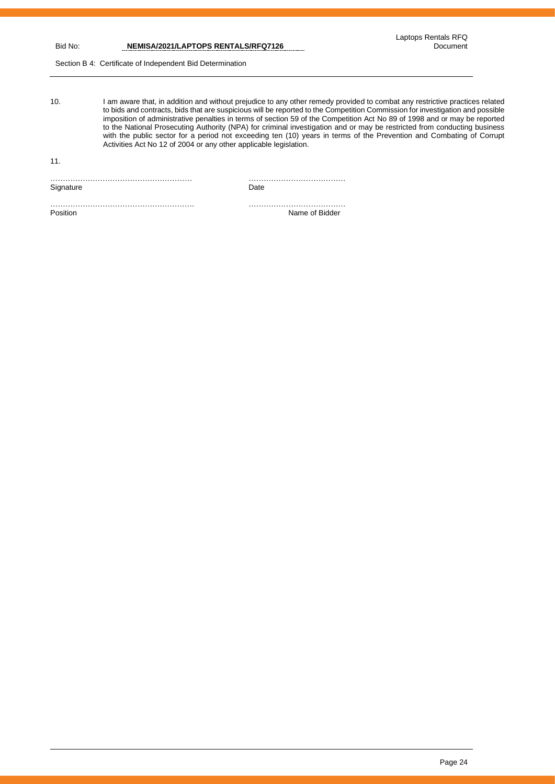Section B 4: Certificate of Independent Bid Determination

10. I am aware that, in addition and without prejudice to any other remedy provided to combat any restrictive practices related to bids and contracts, bids that are suspicious will be reported to the Competition Commission for investigation and possible imposition of administrative penalties in terms of section 59 of the Competition Act No 89 of 1998 and or may be reported to the National Prosecuting Authority (NPA) for criminal investigation and or may be restricted from conducting business with the public sector for a period not exceeding ten (10) years in terms of the Prevention and Combating of Corrupt Activities Act No 12 of 2004 or any other applicable legislation.

 $\overline{a}$ 

11.

………………………………………………… ………………………………… Signature Date

…………………………………………………. ………………………………… Name of Bidder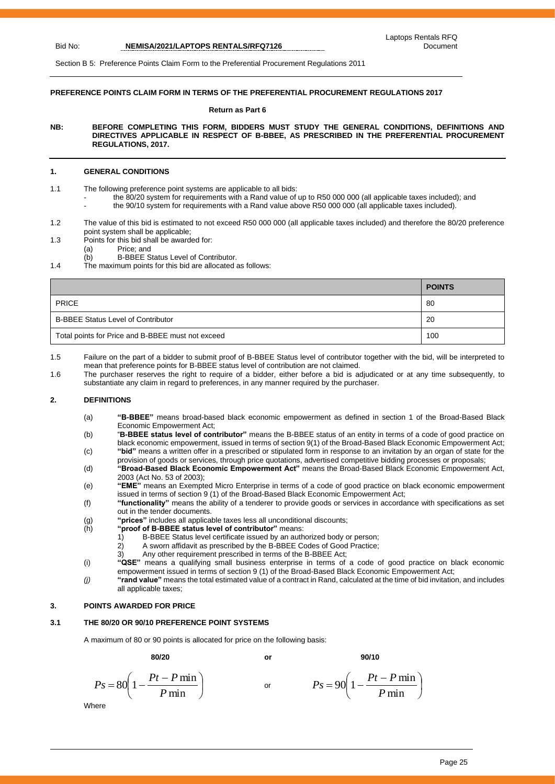Section B 5: Preference Points Claim Form to the Preferential Procurement Regulations 2011

#### **PREFERENCE POINTS CLAIM FORM IN TERMS OF THE PREFERENTIAL PROCUREMENT REGULATIONS 2017**

#### **Return as Part 6**

**NB: BEFORE COMPLETING THIS FORM, BIDDERS MUST STUDY THE GENERAL CONDITIONS, DEFINITIONS AND DIRECTIVES APPLICABLE IN RESPECT OF B-BBEE, AS PRESCRIBED IN THE PREFERENTIAL PROCUREMENT REGULATIONS, 2017.** 

#### **1. GENERAL CONDITIONS**

- 1.1 The following preference point systems are applicable to all bids:
	- the 80/20 system for requirements with a Rand value of up to R50 000 000 (all applicable taxes included); and
	- the 90/10 system for requirements with a Rand value above R50 000 000 (all applicable taxes included).
- 1.2 The value of this bid is estimated to not exceed R50 000 000 (all applicable taxes included) and therefore the 80/20 preference point system shall be applicable;
- 1.3 Points for this bid shall be awarded for:
	- (a) Price; and
	- (b) B-BBEE Status Level of Contributor.
- 1.4 The maximum points for this bid are allocated as follows:

|                                                   | <b>POINTS</b> |
|---------------------------------------------------|---------------|
| <b>PRICE</b>                                      | -80           |
| <b>B-BBEE Status Level of Contributor</b>         | -20           |
| Total points for Price and B-BBEE must not exceed | 100           |

1.5 Failure on the part of a bidder to submit proof of B-BBEE Status level of contributor together with the bid, will be interpreted to mean that preference points for B-BBEE status level of contribution are not claimed.

1.6 The purchaser reserves the right to require of a bidder, either before a bid is adjudicated or at any time subsequently, to substantiate any claim in regard to preferences, in any manner required by the purchaser.

#### **2. DEFINITIONS**

- (a) **"B-BBEE"** means broad-based black economic empowerment as defined in section 1 of the Broad-Based Black Economic Empowerment Act;
- (b) "**B-BBEE status level of contributor"** means the B-BBEE status of an entity in terms of a code of good practice on black economic empowerment, issued in terms of section 9(1) of the Broad-Based Black Economic Empowerment Act; (c) **"bid"** means a written offer in a prescribed or stipulated form in response to an invitation by an organ of state for the
- provision of goods or services, through price quotations, advertised competitive bidding processes or proposals; (d) **"Broad-Based Black Economic Empowerment Act"** means the Broad-Based Black Economic Empowerment Act,
- 2003 (Act No. 53 of 2003); (e) **"EME"** means an Exempted Micro Enterprise in terms of a code of good practice on black economic empowerment issued in terms of section 9 (1) of the Broad-Based Black Economic Empowerment Act;
- (f) **"functionality"** means the ability of a tenderer to provide goods or services in accordance with specifications as set out in the tender documents.
- (g) **"prices"** includes all applicable taxes less all unconditional discounts;
	-
- (h) **"proof of B-BBEE status level of contributor"** means:<br>1) B-BBEE Status level certificate issued by an auth B-BBEE Status level certificate issued by an authorized body or person;
	-
	- 2) A sworn affidavit as prescribed by the B-BBEE Codes of Good Practice;<br>3) Any other requirement prescribed in terms of the B-BBEE Act: Any other requirement prescribed in terms of the B-BBEE Act;
	-
- (i) **"QSE"** means a qualifying small business enterprise in terms of a code of good practice on black economic empowerment issued in terms of section 9 (1) of the Broad-Based Black Economic Empowerment Act;
- *(j)* **"rand value"** means the total estimated value of a contract in Rand, calculated at the time of bid invitation, and includes all applicable taxes;

#### **3. POINTS AWARDED FOR PRICE**

#### **3.1 THE 80/20 OR 90/10 PREFERENCE POINT SYSTEMS**

A maximum of 80 or 90 points is allocated for price on the following basis:

**80/20 or 90/10**

$$
Ps = 80\left(1 - \frac{Pt - P \min}{P \min}\right) \qquad \text{or} \qquad \qquad Ps = 90\left(1 - \frac{Pt - P \min}{P \min}\right)
$$

**Where** 

 $\big)$ 

 $\left(1-\frac{Pt-P\min}{R}\right)$ 

 $90\left(1-\frac{Pt-P\min}{\sum_{i=1}^{n}H_i}\right)$ *P*

min

 $\setminus$  $= 90 \left( 1 - \frac{Pt - }{F} \right)$ 

 $P_s = 90 \left( 1 - \frac{Pt - P}{r} \right)$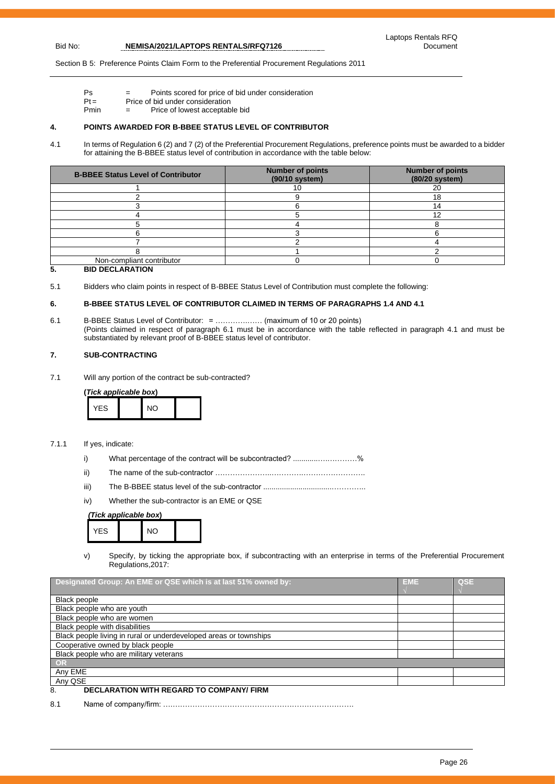Section B 5: Preference Points Claim Form to the Preferential Procurement Regulations 2011

- Ps = Points scored for price of bid under consideration
- $Pt =$  Price of bid under consideration<br>Pmin  $=$  Price of lowest acceptable  $=$  Price of lowest acceptable bid

#### **4. POINTS AWARDED FOR B-BBEE STATUS LEVEL OF CONTRIBUTOR**

4.1 In terms of Regulation 6 (2) and 7 (2) of the Preferential Procurement Regulations, preference points must be awarded to a bidder for attaining the B-BBEE status level of contribution in accordance with the table below:

| <b>B-BBEE Status Level of Contributor</b> | <b>Number of points</b><br>$(90/10$ system) | <b>Number of points</b><br>(80/20 system) |
|-------------------------------------------|---------------------------------------------|-------------------------------------------|
|                                           |                                             |                                           |
|                                           |                                             | 18                                        |
|                                           |                                             |                                           |
|                                           |                                             | 10                                        |
|                                           |                                             |                                           |
|                                           |                                             |                                           |
|                                           |                                             |                                           |
|                                           |                                             |                                           |
| Non-compliant contributor                 |                                             |                                           |

#### **5. BID DECLARATION**

5.1 Bidders who claim points in respect of B-BBEE Status Level of Contribution must complete the following:

### **6. B-BBEE STATUS LEVEL OF CONTRIBUTOR CLAIMED IN TERMS OF PARAGRAPHS 1.4 AND 4.1**

6.1 B-BBEE Status Level of Contributor: = ………….…… (maximum of 10 or 20 points) (Points claimed in respect of paragraph 6.1 must be in accordance with the table reflected in paragraph 4.1 and must be substantiated by relevant proof of B-BBEE status level of contributor.

#### **7. SUB-CONTRACTING**

7.1 Will any portion of the contract be sub-contracted?

**(***Tick applicable box***)**

| <b>YFS</b> |  | $\overline{M}$ |  |
|------------|--|----------------|--|
|------------|--|----------------|--|

#### 7.1.1 If yes, indicate:

- i) What percentage of the contract will be subcontracted? .........................%
- ii) The name of the sub-contractor …………………..………….…………………….
- iii) The B-BBEE status level of the sub-contractor .................................…………..
- iv) Whether the sub-contractor is an EME or QSE

#### *(Tick applicable box***)**



v) Specify, by ticking the appropriate box, if subcontracting with an enterprise in terms of the Preferential Procurement Regulations,2017:

| Designated Group: An EME or QSE which is at last 51% owned by:    | <b>EME</b> | QSE |
|-------------------------------------------------------------------|------------|-----|
|                                                                   |            |     |
| <b>Black people</b>                                               |            |     |
| Black people who are youth                                        |            |     |
| Black people who are women                                        |            |     |
| Black people with disabilities                                    |            |     |
| Black people living in rural or underdeveloped areas or townships |            |     |
| Cooperative owned by black people                                 |            |     |
| Black people who are military veterans                            |            |     |
| OR                                                                |            |     |
| Any EME                                                           |            |     |
| Any QSE                                                           |            |     |
| <b>DECLARATION WITH REGARD TO COMPANY/ FIRM</b><br>8.             |            |     |

8.1 Name of company/firm: ….……………………………………………………………….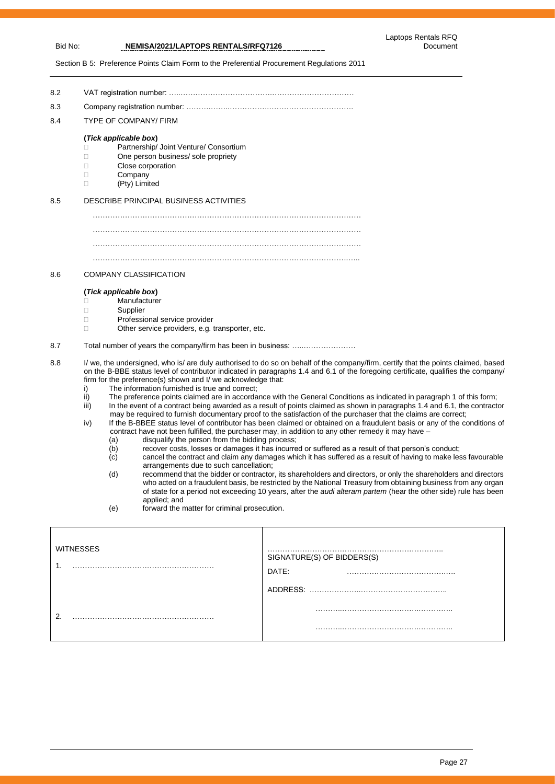#### Laptops Rentals RFQ Document

Section B 5: Preference Points Claim Form to the Preferential Procurement Regulations 2011

Bid No: **NEMISA/2021/LAPTOPS RENTALS/RFQ7126**

8.2 VAT registration number: …..……………………………….…………………………… 8.3 Company registration number: ……….……..…………….……………………………. 8.4 TYPE OF COMPANY/ FIRM **(***Tick applicable box***)** □ Partnership/ Joint Venture/ Consortium  $\Box$  One person business/ sole propriety Close corporation D Company (Pty) Limited 8.5 DESCRIBE PRINCIPAL BUSINESS ACTIVITIES ……………………………………………………………………………………………… ……………………………………………………………………………………………… ………………………………………………………………………………………….….. 8.6 COMPANY CLASSIFICATION **(***Tick applicable box***)** C∴nden<br>
Manufacturer<br>
Supplier Supplier Professional service provider □ Other service providers, e.g. transporter, etc. 8.7 Total number of years the company/firm has been in business: …..………………… 8.8 I/ we, the undersigned, who is/ are duly authorised to do so on behalf of the company/firm, certify that the points claimed, based on the B-BBE status level of contributor indicated in paragraphs 1.4 and 6.1 of the foregoing certificate, qualifies the company/ firm for the preference(s) shown and I/ we acknowledge that: i) The information furnished is true and correct; ii) The preference points claimed are in accordance with the General Conditions as indicated in paragraph 1 of this form;<br>iii) In the event of a contract being awarded as a result of points claimed as shown in paragraphs In the event of a contract being awarded as a result of points claimed as shown in paragraphs 1.4 and 6.1, the contractor may be required to furnish documentary proof to the satisfaction of the purchaser that the claims are correct;

iv) If the B-BBEE status level of contributor has been claimed or obtained on a fraudulent basis or any of the conditions of contract have not been fulfilled, the purchaser may, in addition to any other remedy it may have -

- (a) disqualify the person from the bidding process;<br>(b) recover costs, losses or damages it has incurre
- $\begin{array}{lll} \hbox{(b)} & \text{recover costs, losses or damages it has incurred or suffered as a result of that person's conduct; \\ \hbox{(c)} & \text{cancel the contract and claim any damages which it has suffered as a result of having to make les.} \end{array}$
- cancel the contract and claim any damages which it has suffered as a result of having to make less favourable arrangements due to such cancellation;
- (d) recommend that the bidder or contractor, its shareholders and directors, or only the shareholders and directors who acted on a fraudulent basis, be restricted by the National Treasury from obtaining business from any organ of state for a period not exceeding 10 years, after the *audi alteram partem* (hear the other side) rule has been applied; and
- (e) forward the matter for criminal prosecution.

| ◠ | <b>WITNESSES</b> | .<br>SIGNATURE(S) OF BIDDERS(S)<br>DATE:<br>ADDRESS:<br>. |
|---|------------------|-----------------------------------------------------------|
|   |                  |                                                           |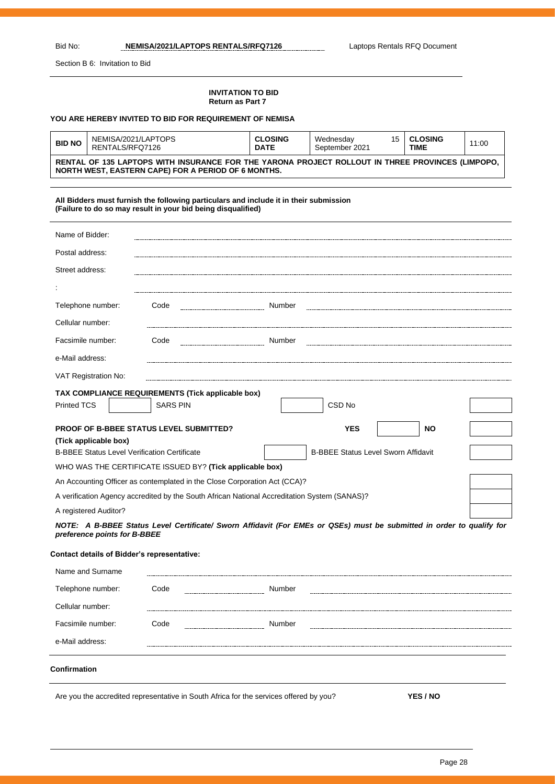Bid No: **NEMISA/2021/LAPTOPS RENTALS/RFQ7126** Laptops Rentals RFQ Document

Section B 6: Invitation to Bid

#### **INVITATION TO BID Return as Part 7**

### **YOU ARE HEREBY INVITED TO BID FOR REQUIREMENT OF NEMISA**

| <b>BID NO</b>                                                                                                                                                  | NEMISA/2021/LAPTOPS<br>RENTALS/RFO7126 | <b>CLOSING</b><br><b>DATE</b> | 15<br>Wednesdav<br>September 2021 | <b>CLOSING</b><br><b>TIME</b> | 11:00 |  |
|----------------------------------------------------------------------------------------------------------------------------------------------------------------|----------------------------------------|-------------------------------|-----------------------------------|-------------------------------|-------|--|
| RENTAL OF 135 LAPTOPS WITH INSURANCE FOR THE YARONA PROJECT ROLLOUT IN THREE PROVINCES (LIMPOPO,<br><b>NORTH WEST, EASTERN CAPE) FOR A PERIOD OF 6 MONTHS.</b> |                                        |                               |                                   |                               |       |  |

#### **All Bidders must furnish the following particulars and include it in their submission (Failure to do so may result in your bid being disqualified)**

| Name of Bidder:                                                                                                                                                                                                 |                                                                                                                                                                                         |                                                                                                                                                                                                                                                                                                |  |
|-----------------------------------------------------------------------------------------------------------------------------------------------------------------------------------------------------------------|-----------------------------------------------------------------------------------------------------------------------------------------------------------------------------------------|------------------------------------------------------------------------------------------------------------------------------------------------------------------------------------------------------------------------------------------------------------------------------------------------|--|
| Postal address:                                                                                                                                                                                                 |                                                                                                                                                                                         |                                                                                                                                                                                                                                                                                                |  |
| Street address:                                                                                                                                                                                                 |                                                                                                                                                                                         |                                                                                                                                                                                                                                                                                                |  |
|                                                                                                                                                                                                                 |                                                                                                                                                                                         |                                                                                                                                                                                                                                                                                                |  |
| Telephone number:                                                                                                                                                                                               | Code                                                                                                                                                                                    | Number                                                                                                                                                                                                                                                                                         |  |
| Cellular number:                                                                                                                                                                                                |                                                                                                                                                                                         |                                                                                                                                                                                                                                                                                                |  |
| Facsimile number:                                                                                                                                                                                               | Code                                                                                                                                                                                    | Number                                                                                                                                                                                                                                                                                         |  |
| e-Mail address:                                                                                                                                                                                                 |                                                                                                                                                                                         |                                                                                                                                                                                                                                                                                                |  |
| VAT Registration No:                                                                                                                                                                                            |                                                                                                                                                                                         |                                                                                                                                                                                                                                                                                                |  |
|                                                                                                                                                                                                                 | TAX COMPLIANCE REQUIREMENTS (Tick applicable box)                                                                                                                                       |                                                                                                                                                                                                                                                                                                |  |
| <b>Printed TCS</b>                                                                                                                                                                                              | <b>SARS PIN</b>                                                                                                                                                                         | CSD No                                                                                                                                                                                                                                                                                         |  |
| (Tick applicable box)<br><b>B-BBEE Status Level Verification Certificate</b><br>A registered Auditor?<br>preference points for B-BBEE<br><b>Contact details of Bidder's representative:</b><br>Name and Surname | <b>PROOF OF B-BBEE STATUS LEVEL SUBMITTED?</b><br>WHO WAS THE CERTIFICATE ISSUED BY? (Tick applicable box)<br>An Accounting Officer as contemplated in the Close Corporation Act (CCA)? | <b>YES</b><br><b>NO</b><br><b>B-BBEE Status Level Sworn Affidavit</b><br>A verification Agency accredited by the South African National Accreditation System (SANAS)?<br>NOTE: A B-BBEE Status Level Certificate/ Sworn Affidavit (For EMEs or QSEs) must be submitted in order to qualify for |  |
| Telephone number:                                                                                                                                                                                               | Code                                                                                                                                                                                    |                                                                                                                                                                                                                                                                                                |  |
| Cellular number:                                                                                                                                                                                                |                                                                                                                                                                                         |                                                                                                                                                                                                                                                                                                |  |
| Facsimile number:<br>e-Mail address:                                                                                                                                                                            | Code                                                                                                                                                                                    | Number                                                                                                                                                                                                                                                                                         |  |
| Confirmation                                                                                                                                                                                                    |                                                                                                                                                                                         |                                                                                                                                                                                                                                                                                                |  |

Are you the accredited representative in South Africa for the services offered by you? **YES / NO**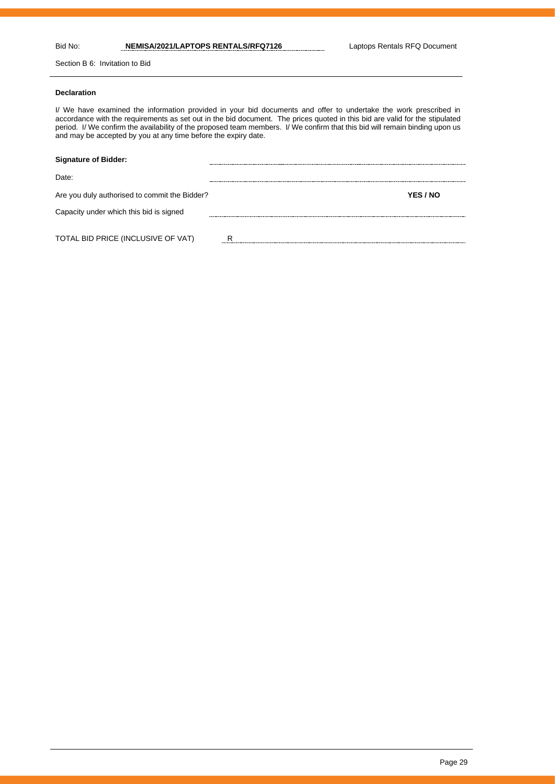### Bid No: **NEMISA/2021/LAPTOPS RENTALS/RFQ7126** Laptops Rentals RFQ Document

Section B 6: Invitation to Bid

### **Declaration**

I/ We have examined the information provided in your bid documents and offer to undertake the work prescribed in accordance with the requirements as set out in the bid document. The prices quoted in this bid are valid for the stipulated period. I/ We confirm the availability of the proposed team members. I/ We confirm that this bid will remain binding upon us and may be accepted by you at any time before the expiry date.

| <b>Signature of Bidder:</b>                   |   |          |
|-----------------------------------------------|---|----------|
| Date:                                         |   |          |
| Are you duly authorised to commit the Bidder? |   | YES / NO |
| Capacity under which this bid is signed       |   |          |
|                                               |   |          |
| TOTAL BID PRICE (INCLUSIVE OF VAT)            | R |          |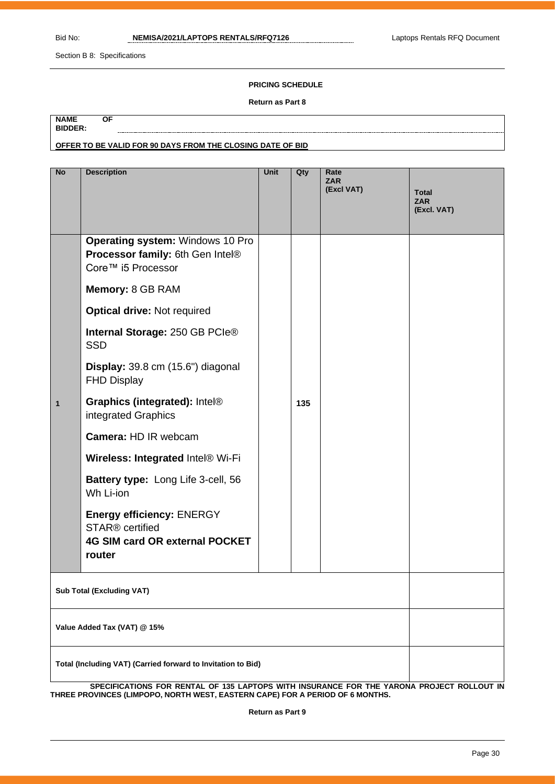Section B 8: Specifications

### **PRICING SCHEDULE**

#### **Return as Part 8**

| <b>NAME</b>    | ΟF                                                         |
|----------------|------------------------------------------------------------|
| <b>BIDDER:</b> |                                                            |
|                | OFFER TO BE VALID FOR 90 DAYS FROM THE CLOSING DATE OF BID |

| <b>No</b>                                                    | <b>Description</b>                                                                                                 | Unit | Qty | Rate<br><b>ZAR</b><br>(Excl VAT) | Total<br><b>ZAR</b><br>(Excl. VAT) |  |
|--------------------------------------------------------------|--------------------------------------------------------------------------------------------------------------------|------|-----|----------------------------------|------------------------------------|--|
|                                                              | <b>Operating system: Windows 10 Pro</b><br>Processor family: 6th Gen Intel®<br>Core™ i5 Processor                  |      |     |                                  |                                    |  |
|                                                              | Memory: 8 GB RAM                                                                                                   |      |     |                                  |                                    |  |
|                                                              | <b>Optical drive: Not required</b>                                                                                 |      |     |                                  |                                    |  |
|                                                              | Internal Storage: 250 GB PCIe®<br><b>SSD</b>                                                                       |      |     |                                  |                                    |  |
|                                                              | Display: 39.8 cm (15.6") diagonal<br><b>FHD Display</b>                                                            |      |     |                                  |                                    |  |
| $\mathbf{1}$                                                 | Graphics (integrated): Intel®<br>integrated Graphics                                                               |      | 135 |                                  |                                    |  |
|                                                              | Camera: HD IR webcam                                                                                               |      |     |                                  |                                    |  |
|                                                              | Wireless: Integrated Intel® Wi-Fi                                                                                  |      |     |                                  |                                    |  |
|                                                              | Battery type: Long Life 3-cell, 56<br>Wh Li-ion                                                                    |      |     |                                  |                                    |  |
|                                                              | <b>Energy efficiency: ENERGY</b><br>STAR <sup>®</sup> certified<br><b>4G SIM card OR external POCKET</b><br>router |      |     |                                  |                                    |  |
| <b>Sub Total (Excluding VAT)</b>                             |                                                                                                                    |      |     |                                  |                                    |  |
|                                                              | Value Added Tax (VAT) @ 15%                                                                                        |      |     |                                  |                                    |  |
| Total (Including VAT) (Carried forward to Invitation to Bid) |                                                                                                                    |      |     |                                  |                                    |  |
|                                                              | SPECIFICATIONS FOR RENTAL OF 135 LAPTOPS WITH INSURANCE FOR THE YARONA PROJECT ROLLOUT IN                          |      |     |                                  |                                    |  |

**THREE PROVINCES (LIMPOPO, NORTH WEST, EASTERN CAPE) FOR A PERIOD OF 6 MONTHS.** 

**Return as Part 9**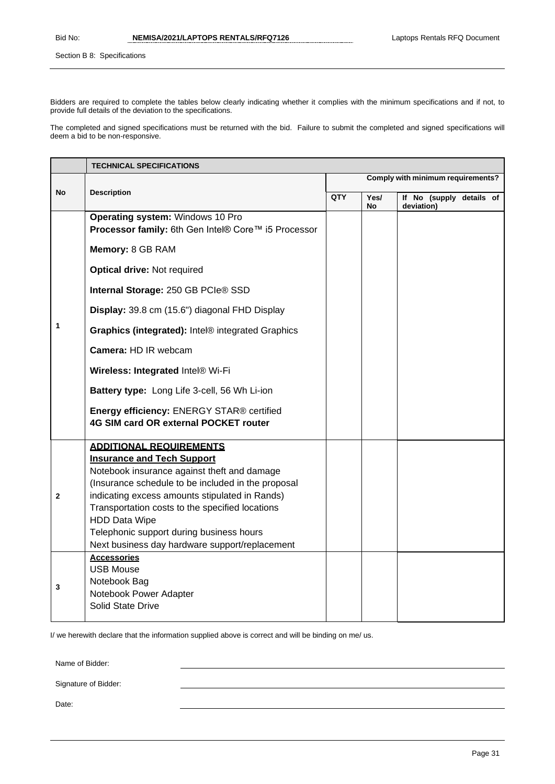Section B 8: Specifications

Bidders are required to complete the tables below clearly indicating whether it complies with the minimum specifications and if not, to provide full details of the deviation to the specifications.

The completed and signed specifications must be returned with the bid. Failure to submit the completed and signed specifications will deem a bid to be non-responsive.

|              | <b>TECHNICAL SPECIFICATIONS</b>                                                                                                                                                                                                                                                                                                                                                                     |                                   |            |                                        |  |
|--------------|-----------------------------------------------------------------------------------------------------------------------------------------------------------------------------------------------------------------------------------------------------------------------------------------------------------------------------------------------------------------------------------------------------|-----------------------------------|------------|----------------------------------------|--|
| <b>No</b>    |                                                                                                                                                                                                                                                                                                                                                                                                     | Comply with minimum requirements? |            |                                        |  |
|              | <b>Description</b>                                                                                                                                                                                                                                                                                                                                                                                  |                                   | Yes/<br>No | If No (supply details of<br>deviation) |  |
| 1            | Operating system: Windows 10 Pro<br>Processor family: 6th Gen Intel® Core™ i5 Processor                                                                                                                                                                                                                                                                                                             |                                   |            |                                        |  |
|              | Memory: 8 GB RAM                                                                                                                                                                                                                                                                                                                                                                                    |                                   |            |                                        |  |
|              | <b>Optical drive: Not required</b>                                                                                                                                                                                                                                                                                                                                                                  |                                   |            |                                        |  |
|              | Internal Storage: 250 GB PCIe® SSD                                                                                                                                                                                                                                                                                                                                                                  |                                   |            |                                        |  |
|              | Display: 39.8 cm (15.6") diagonal FHD Display                                                                                                                                                                                                                                                                                                                                                       |                                   |            |                                        |  |
|              | Graphics (integrated): Intel® integrated Graphics                                                                                                                                                                                                                                                                                                                                                   |                                   |            |                                        |  |
|              | Camera: HD IR webcam                                                                                                                                                                                                                                                                                                                                                                                |                                   |            |                                        |  |
|              | Wireless: Integrated Intel® Wi-Fi                                                                                                                                                                                                                                                                                                                                                                   |                                   |            |                                        |  |
|              | Battery type: Long Life 3-cell, 56 Wh Li-ion                                                                                                                                                                                                                                                                                                                                                        |                                   |            |                                        |  |
|              | Energy efficiency: ENERGY STAR® certified<br><b>4G SIM card OR external POCKET router</b>                                                                                                                                                                                                                                                                                                           |                                   |            |                                        |  |
| $\mathbf{2}$ | <b>ADDITIONAL REQUIREMENTS</b><br><b>Insurance and Tech Support</b><br>Notebook insurance against theft and damage<br>(Insurance schedule to be included in the proposal<br>indicating excess amounts stipulated in Rands)<br>Transportation costs to the specified locations<br><b>HDD Data Wipe</b><br>Telephonic support during business hours<br>Next business day hardware support/replacement |                                   |            |                                        |  |
| 3            | <b>Accessories</b><br><b>USB Mouse</b><br>Notebook Bag<br>Notebook Power Adapter<br>Solid State Drive                                                                                                                                                                                                                                                                                               |                                   |            |                                        |  |

I/ we herewith declare that the information supplied above is correct and will be binding on me/ us.

Name of Bidder:

Signature of Bidder:

Date: